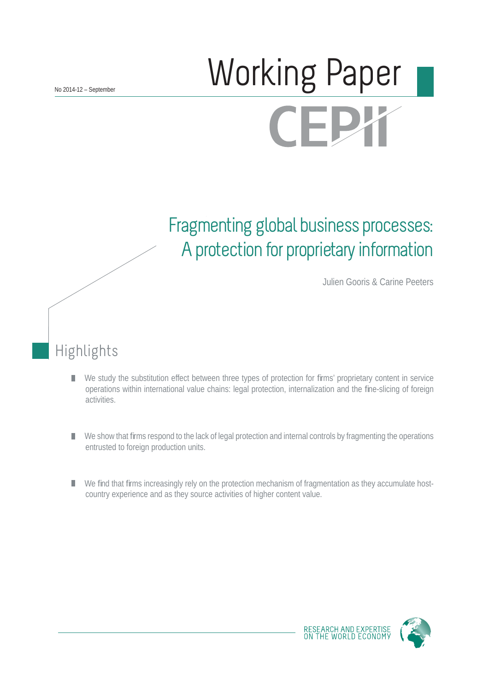# Working Paper **CEPY**

## Fragmenting global business processes: A protection for proprietary information

Julien Gooris & Carine Peeters

## Highlights

- We study the substitution effect between three types of protection for firms' proprietary content in service П operations within international value chains: legal protection, internalization and the fine-slicing of foreign activities.
- We show that firms respond to the lack of legal protection and internal controls by fragmenting the operations П entrusted to foreign production units.
- We find that firms increasingly rely on the protection mechanism of fragmentation as they accumulate hostcountry experience and as they source activities of higher content value.

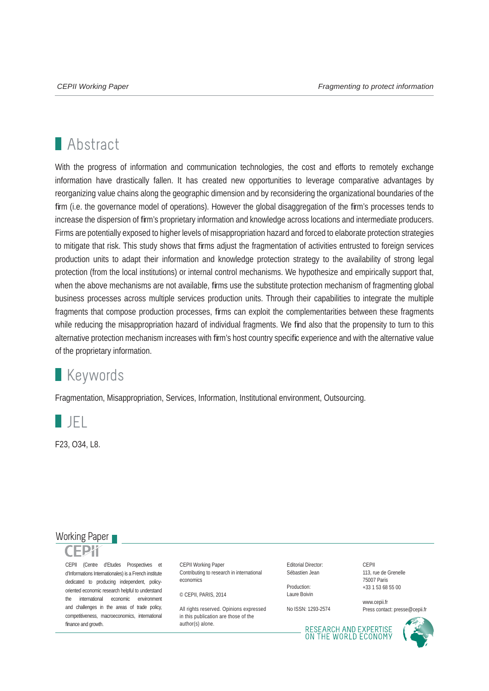## **Abstract**

With the progress of information and communication technologies, the cost and efforts to remotely exchange information have drastically fallen. It has created new opportunities to leverage comparative advantages by reorganizing value chains along the geographic dimension and by reconsidering the organizational boundaries of the firm (i.e. the governance model of operations). However the global disaggregation of the firm's processes tends to increase the dispersion of firm's proprietary information and knowledge across locations and intermediate producers. Firms are potentially exposed to higher levels of misappropriation hazard and forced to elaborate protection strategies to mitigate that risk. This study shows that firms adjust the fragmentation of activities entrusted to foreign services production units to adapt their information and knowledge protection strategy to the availability of strong legal protection (from the local institutions) or internal control mechanisms. We hypothesize and empirically support that, when the above mechanisms are not available, firms use the substitute protection mechanism of fragmenting global business processes across multiple services production units. Through their capabilities to integrate the multiple fragments that compose production processes, firms can exploit the complementarities between these fragments while reducing the misappropriation hazard of individual fragments. We find also that the propensity to turn to this alternative protection mechanism increases with firm's host country specific experience and with the alternative value of the proprietary information.

## **Keywords**

Fragmentation, Misappropriation, Services, Information, Institutional environment, Outsourcing.



F23, O34, L8.

### Working Paper

CEPII (Centre d'Etudes Prospectives et d'Informations Internationales) is a French institute dedicated to producing independent, policyoriented economic research helpful to understand the international economic environment and challenges in the areas of trade policy, competitiveness, macroeconomics, international finance and growth.

CEPII Working Paper Contributing to research in international economics

© CEPII, PARIS, 2014

All rights reserved. Opinions expressed. in this publication are those of the author(s) alone.

Editorial Director: Sébastien Jean

Production: Laure Boivin

No ISSN: 1293-2574

**CEPII** 113, rue de Grenelle 75007 Paris +33 1 53 68 55 00

www.cepii.fr Press contact: presse@cepii.fr

RESEARCH AND EXPERTISE<br>ON THE WORLD ECONOMY

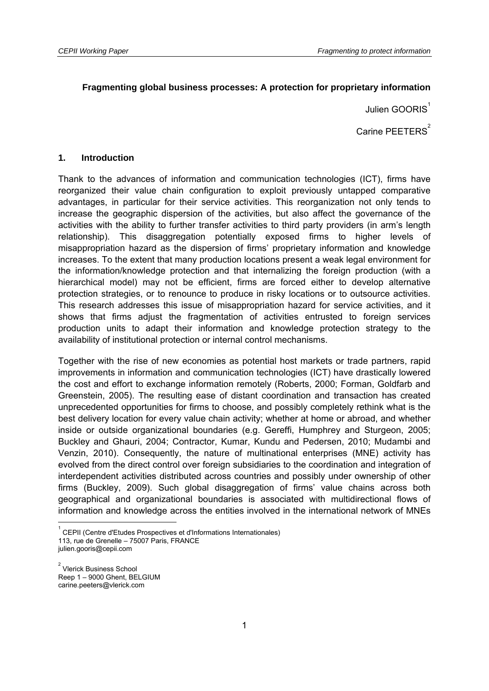#### **Fragmenting global business processes: A protection for proprietary information**

Julien GOORIS $<sup>1</sup>$ </sup>

Carine PEETERS<sup>2</sup>

#### **1. Introduction**

Thank to the advances of information and communication technologies (ICT), firms have reorganized their value chain configuration to exploit previously untapped comparative advantages, in particular for their service activities. This reorganization not only tends to increase the geographic dispersion of the activities, but also affect the governance of the activities with the ability to further transfer activities to third party providers (in arm's length relationship). This disaggregation potentially exposed firms to higher levels of misappropriation hazard as the dispersion of firms' proprietary information and knowledge increases. To the extent that many production locations present a weak legal environment for the information/knowledge protection and that internalizing the foreign production (with a hierarchical model) may not be efficient, firms are forced either to develop alternative protection strategies, or to renounce to produce in risky locations or to outsource activities. This research addresses this issue of misappropriation hazard for service activities, and it shows that firms adjust the fragmentation of activities entrusted to foreign services production units to adapt their information and knowledge protection strategy to the availability of institutional protection or internal control mechanisms.

Together with the rise of new economies as potential host markets or trade partners, rapid improvements in information and communication technologies (ICT) have drastically lowered the cost and effort to exchange information remotely (Roberts, 2000; Forman, Goldfarb and Greenstein, 2005). The resulting ease of distant coordination and transaction has created unprecedented opportunities for firms to choose, and possibly completely rethink what is the best delivery location for every value chain activity; whether at home or abroad, and whether inside or outside organizational boundaries (e.g. Gereffi, Humphrey and Sturgeon, 2005; Buckley and Ghauri, 2004; Contractor, Kumar, Kundu and Pedersen, 2010; Mudambi and Venzin, 2010). Consequently, the nature of multinational enterprises (MNE) activity has evolved from the direct control over foreign subsidiaries to the coordination and integration of interdependent activities distributed across countries and possibly under ownership of other firms (Buckley, 2009). Such global disaggregation of firms' value chains across both geographical and organizational boundaries is associated with multidirectional flows of information and knowledge across the entities involved in the international network of MNEs

-

<sup>1</sup> CEPII (Centre d'Etudes Prospectives et d'Informations Internationales) 113, rue de Grenelle – 75007 Paris, FRANCE

julien.gooris@cepii.com

<sup>&</sup>lt;sup>2</sup> Vlerick Business School Reep 1 – 9000 Ghent, BELGIUM carine.peeters@vlerick.com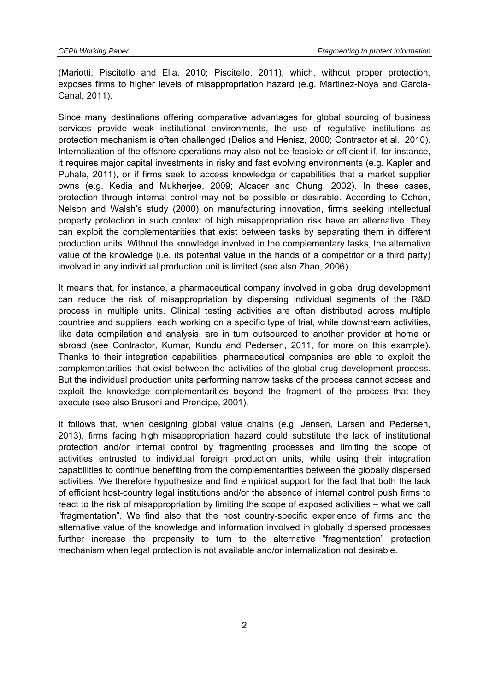(Mariotti, Piscitello and Elia, 2010; Piscitello, 2011), which, without proper protection, exposes firms to higher levels of misappropriation hazard (e.g. Martinez-Noya and Garcia-Canal, 2011).

Since many destinations offering comparative advantages for global sourcing of business services provide weak institutional environments, the use of regulative institutions as protection mechanism is often challenged (Delios and Henisz, 2000; Contractor et al., 2010). Internalization of the offshore operations may also not be feasible or efficient if, for instance, it requires major capital investments in risky and fast evolving environments (e.g. Kapler and Puhala, 2011), or if firms seek to access knowledge or capabilities that a market supplier owns (e.g. Kedia and Mukherjee, 2009; Alcacer and Chung, 2002). In these cases, protection through internal control may not be possible or desirable. According to Cohen, Nelson and Walsh's study (2000) on manufacturing innovation, firms seeking intellectual property protection in such context of high misappropriation risk have an alternative. They can exploit the complementarities that exist between tasks by separating them in different production units. Without the knowledge involved in the complementary tasks, the alternative value of the knowledge (i.e. its potential value in the hands of a competitor or a third party) involved in any individual production unit is limited (see also Zhao, 2006).

It means that, for instance, a pharmaceutical company involved in global drug development can reduce the risk of misappropriation by dispersing individual segments of the R&D process in multiple units. Clinical testing activities are often distributed across multiple countries and suppliers, each working on a specific type of trial, while downstream activities, like data compilation and analysis, are in turn outsourced to another provider at home or abroad (see Contractor, Kumar, Kundu and Pedersen, 2011, for more on this example). Thanks to their integration capabilities, pharmaceutical companies are able to exploit the complementarities that exist between the activities of the global drug development process. But the individual production units performing narrow tasks of the process cannot access and exploit the knowledge complementarities beyond the fragment of the process that they execute (see also Brusoni and Prencipe, 2001).

It follows that, when designing global value chains (e.g. Jensen, Larsen and Pedersen, 2013), firms facing high misappropriation hazard could substitute the lack of institutional protection and/or internal control by fragmenting processes and limiting the scope of activities entrusted to individual foreign production units, while using their integration capabilities to continue benefiting from the complementarities between the globally dispersed activities. We therefore hypothesize and find empirical support for the fact that both the lack of efficient host-country legal institutions and/or the absence of internal control push firms to react to the risk of misappropriation by limiting the scope of exposed activities – what we call "fragmentation". We find also that the host country-specific experience of firms and the alternative value of the knowledge and information involved in globally dispersed processes further increase the propensity to turn to the alternative "fragmentation" protection mechanism when legal protection is not available and/or internalization not desirable.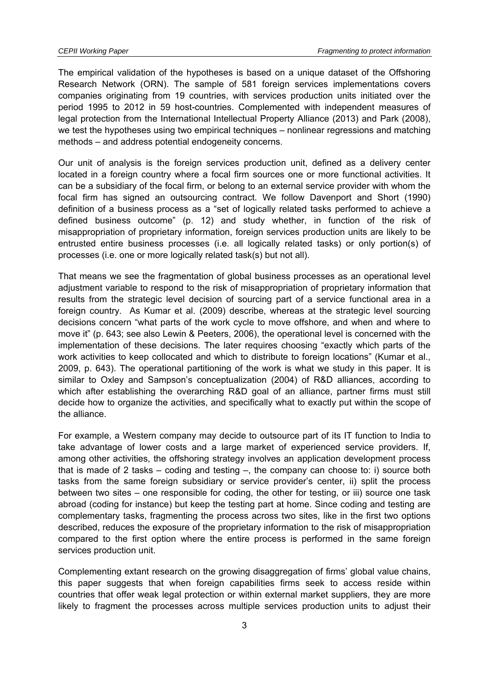The empirical validation of the hypotheses is based on a unique dataset of the Offshoring Research Network (ORN). The sample of 581 foreign services implementations covers companies originating from 19 countries, with services production units initiated over the period 1995 to 2012 in 59 host-countries. Complemented with independent measures of legal protection from the International Intellectual Property Alliance (2013) and Park (2008), we test the hypotheses using two empirical techniques – nonlinear regressions and matching methods – and address potential endogeneity concerns.

Our unit of analysis is the foreign services production unit, defined as a delivery center located in a foreign country where a focal firm sources one or more functional activities. It can be a subsidiary of the focal firm, or belong to an external service provider with whom the focal firm has signed an outsourcing contract. We follow Davenport and Short (1990) definition of a business process as a "set of logically related tasks performed to achieve a defined business outcome" (p. 12) and study whether, in function of the risk of misappropriation of proprietary information, foreign services production units are likely to be entrusted entire business processes (i.e. all logically related tasks) or only portion(s) of processes (i.e. one or more logically related task(s) but not all).

That means we see the fragmentation of global business processes as an operational level adjustment variable to respond to the risk of misappropriation of proprietary information that results from the strategic level decision of sourcing part of a service functional area in a foreign country. As Kumar et al. (2009) describe, whereas at the strategic level sourcing decisions concern "what parts of the work cycle to move offshore, and when and where to move it" (p. 643; see also Lewin & Peeters, 2006), the operational level is concerned with the implementation of these decisions. The later requires choosing "exactly which parts of the work activities to keep collocated and which to distribute to foreign locations" (Kumar et al., 2009, p. 643). The operational partitioning of the work is what we study in this paper. It is similar to Oxley and Sampson's conceptualization (2004) of R&D alliances, according to which after establishing the overarching R&D goal of an alliance, partner firms must still decide how to organize the activities, and specifically what to exactly put within the scope of the alliance.

For example, a Western company may decide to outsource part of its IT function to India to take advantage of lower costs and a large market of experienced service providers. If, among other activities, the offshoring strategy involves an application development process that is made of 2 tasks – coding and testing –, the company can choose to: i) source both tasks from the same foreign subsidiary or service provider's center, ii) split the process between two sites – one responsible for coding, the other for testing, or iii) source one task abroad (coding for instance) but keep the testing part at home. Since coding and testing are complementary tasks, fragmenting the process across two sites, like in the first two options described, reduces the exposure of the proprietary information to the risk of misappropriation compared to the first option where the entire process is performed in the same foreign services production unit.

Complementing extant research on the growing disaggregation of firms' global value chains, this paper suggests that when foreign capabilities firms seek to access reside within countries that offer weak legal protection or within external market suppliers, they are more likely to fragment the processes across multiple services production units to adjust their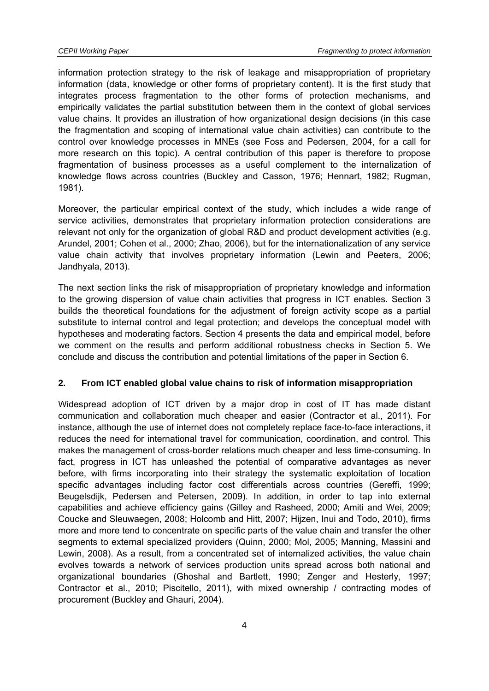information protection strategy to the risk of leakage and misappropriation of proprietary information (data, knowledge or other forms of proprietary content). It is the first study that integrates process fragmentation to the other forms of protection mechanisms, and empirically validates the partial substitution between them in the context of global services value chains. It provides an illustration of how organizational design decisions (in this case the fragmentation and scoping of international value chain activities) can contribute to the control over knowledge processes in MNEs (see Foss and Pedersen, 2004, for a call for more research on this topic). A central contribution of this paper is therefore to propose fragmentation of business processes as a useful complement to the internalization of knowledge flows across countries (Buckley and Casson, 1976; Hennart, 1982; Rugman, 1981).

Moreover, the particular empirical context of the study, which includes a wide range of service activities, demonstrates that proprietary information protection considerations are relevant not only for the organization of global R&D and product development activities (e.g. Arundel, 2001; Cohen et al., 2000; Zhao, 2006), but for the internationalization of any service value chain activity that involves proprietary information (Lewin and Peeters, 2006; Jandhyala, 2013).

The next section links the risk of misappropriation of proprietary knowledge and information to the growing dispersion of value chain activities that progress in ICT enables. Section 3 builds the theoretical foundations for the adjustment of foreign activity scope as a partial substitute to internal control and legal protection; and develops the conceptual model with hypotheses and moderating factors. Section 4 presents the data and empirical model, before we comment on the results and perform additional robustness checks in Section 5. We conclude and discuss the contribution and potential limitations of the paper in Section 6.

#### **2. From ICT enabled global value chains to risk of information misappropriation**

Widespread adoption of ICT driven by a major drop in cost of IT has made distant communication and collaboration much cheaper and easier (Contractor et al., 2011). For instance, although the use of internet does not completely replace face-to-face interactions, it reduces the need for international travel for communication, coordination, and control. This makes the management of cross-border relations much cheaper and less time-consuming. In fact, progress in ICT has unleashed the potential of comparative advantages as never before, with firms incorporating into their strategy the systematic exploitation of location specific advantages including factor cost differentials across countries (Gereffi, 1999; Beugelsdijk, Pedersen and Petersen, 2009). In addition, in order to tap into external capabilities and achieve efficiency gains (Gilley and Rasheed, 2000; Amiti and Wei, 2009; Coucke and Sleuwaegen, 2008; Holcomb and Hitt, 2007; Hijzen, Inui and Todo, 2010), firms more and more tend to concentrate on specific parts of the value chain and transfer the other segments to external specialized providers (Quinn, 2000; Mol, 2005; Manning, Massini and Lewin, 2008). As a result, from a concentrated set of internalized activities, the value chain evolves towards a network of services production units spread across both national and organizational boundaries (Ghoshal and Bartlett, 1990; Zenger and Hesterly, 1997; Contractor et al., 2010; Piscitello, 2011), with mixed ownership / contracting modes of procurement (Buckley and Ghauri, 2004).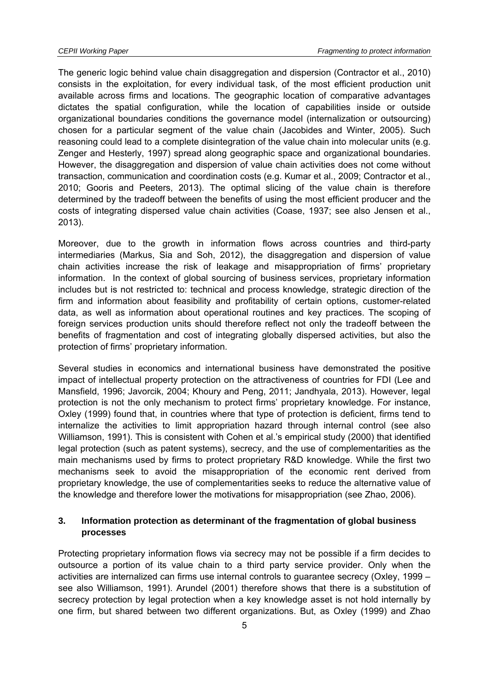The generic logic behind value chain disaggregation and dispersion (Contractor et al., 2010) consists in the exploitation, for every individual task, of the most efficient production unit available across firms and locations. The geographic location of comparative advantages dictates the spatial configuration, while the location of capabilities inside or outside organizational boundaries conditions the governance model (internalization or outsourcing) chosen for a particular segment of the value chain (Jacobides and Winter, 2005). Such reasoning could lead to a complete disintegration of the value chain into molecular units (e.g. Zenger and Hesterly, 1997) spread along geographic space and organizational boundaries. However, the disaggregation and dispersion of value chain activities does not come without transaction, communication and coordination costs (e.g. Kumar et al., 2009; Contractor et al., 2010; Gooris and Peeters, 2013). The optimal slicing of the value chain is therefore determined by the tradeoff between the benefits of using the most efficient producer and the costs of integrating dispersed value chain activities (Coase, 1937; see also Jensen et al., 2013).

Moreover, due to the growth in information flows across countries and third-party intermediaries (Markus, Sia and Soh, 2012), the disaggregation and dispersion of value chain activities increase the risk of leakage and misappropriation of firms' proprietary information. In the context of global sourcing of business services, proprietary information includes but is not restricted to: technical and process knowledge, strategic direction of the firm and information about feasibility and profitability of certain options, customer-related data, as well as information about operational routines and key practices. The scoping of foreign services production units should therefore reflect not only the tradeoff between the benefits of fragmentation and cost of integrating globally dispersed activities, but also the protection of firms' proprietary information.

Several studies in economics and international business have demonstrated the positive impact of intellectual property protection on the attractiveness of countries for FDI (Lee and Mansfield, 1996; Javorcik, 2004; Khoury and Peng, 2011; Jandhyala, 2013). However, legal protection is not the only mechanism to protect firms' proprietary knowledge. For instance, Oxley (1999) found that, in countries where that type of protection is deficient, firms tend to internalize the activities to limit appropriation hazard through internal control (see also Williamson, 1991). This is consistent with Cohen et al.'s empirical study (2000) that identified legal protection (such as patent systems), secrecy, and the use of complementarities as the main mechanisms used by firms to protect proprietary R&D knowledge. While the first two mechanisms seek to avoid the misappropriation of the economic rent derived from proprietary knowledge, the use of complementarities seeks to reduce the alternative value of the knowledge and therefore lower the motivations for misappropriation (see Zhao, 2006).

#### **3. Information protection as determinant of the fragmentation of global business processes**

Protecting proprietary information flows via secrecy may not be possible if a firm decides to outsource a portion of its value chain to a third party service provider. Only when the activities are internalized can firms use internal controls to guarantee secrecy (Oxley, 1999 – see also Williamson, 1991). Arundel (2001) therefore shows that there is a substitution of secrecy protection by legal protection when a key knowledge asset is not hold internally by one firm, but shared between two different organizations. But, as Oxley (1999) and Zhao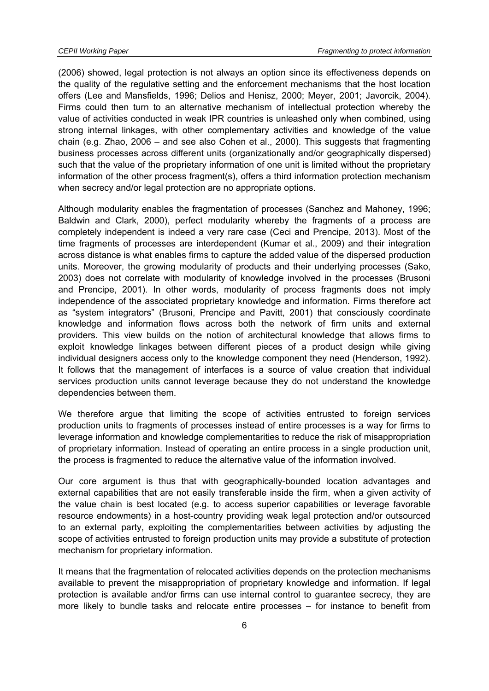(2006) showed, legal protection is not always an option since its effectiveness depends on the quality of the regulative setting and the enforcement mechanisms that the host location offers (Lee and Mansfields, 1996; Delios and Henisz, 2000; Meyer, 2001; Javorcik, 2004). Firms could then turn to an alternative mechanism of intellectual protection whereby the value of activities conducted in weak IPR countries is unleashed only when combined, using strong internal linkages, with other complementary activities and knowledge of the value chain (e.g. Zhao, 2006 – and see also Cohen et al., 2000). This suggests that fragmenting business processes across different units (organizationally and/or geographically dispersed) such that the value of the proprietary information of one unit is limited without the proprietary information of the other process fragment(s), offers a third information protection mechanism when secrecy and/or legal protection are no appropriate options.

Although modularity enables the fragmentation of processes (Sanchez and Mahoney, 1996; Baldwin and Clark, 2000), perfect modularity whereby the fragments of a process are completely independent is indeed a very rare case (Ceci and Prencipe, 2013). Most of the time fragments of processes are interdependent (Kumar et al., 2009) and their integration across distance is what enables firms to capture the added value of the dispersed production units. Moreover, the growing modularity of products and their underlying processes (Sako, 2003) does not correlate with modularity of knowledge involved in the processes (Brusoni and Prencipe, 2001). In other words, modularity of process fragments does not imply independence of the associated proprietary knowledge and information. Firms therefore act as "system integrators" (Brusoni, Prencipe and Pavitt, 2001) that consciously coordinate knowledge and information flows across both the network of firm units and external providers. This view builds on the notion of architectural knowledge that allows firms to exploit knowledge linkages between different pieces of a product design while giving individual designers access only to the knowledge component they need (Henderson, 1992). It follows that the management of interfaces is a source of value creation that individual services production units cannot leverage because they do not understand the knowledge dependencies between them.

We therefore argue that limiting the scope of activities entrusted to foreign services production units to fragments of processes instead of entire processes is a way for firms to leverage information and knowledge complementarities to reduce the risk of misappropriation of proprietary information. Instead of operating an entire process in a single production unit, the process is fragmented to reduce the alternative value of the information involved.

Our core argument is thus that with geographically-bounded location advantages and external capabilities that are not easily transferable inside the firm, when a given activity of the value chain is best located (e.g. to access superior capabilities or leverage favorable resource endowments) in a host-country providing weak legal protection and/or outsourced to an external party, exploiting the complementarities between activities by adjusting the scope of activities entrusted to foreign production units may provide a substitute of protection mechanism for proprietary information.

It means that the fragmentation of relocated activities depends on the protection mechanisms available to prevent the misappropriation of proprietary knowledge and information. If legal protection is available and/or firms can use internal control to guarantee secrecy, they are more likely to bundle tasks and relocate entire processes – for instance to benefit from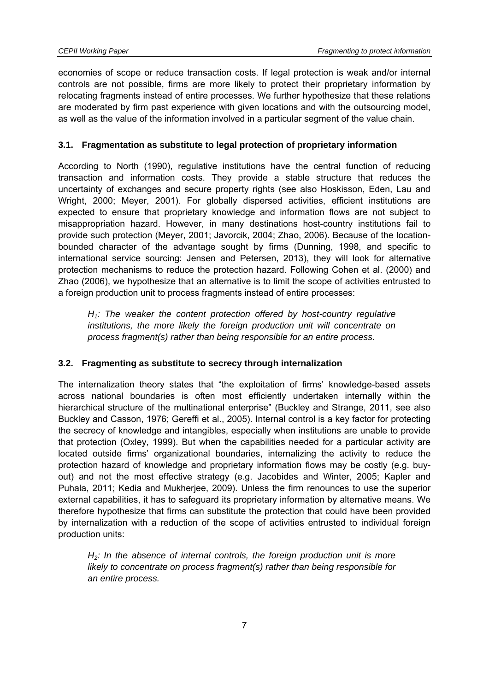economies of scope or reduce transaction costs. If legal protection is weak and/or internal controls are not possible, firms are more likely to protect their proprietary information by relocating fragments instead of entire processes. We further hypothesize that these relations are moderated by firm past experience with given locations and with the outsourcing model, as well as the value of the information involved in a particular segment of the value chain.

#### **3.1. Fragmentation as substitute to legal protection of proprietary information**

According to North (1990), regulative institutions have the central function of reducing transaction and information costs. They provide a stable structure that reduces the uncertainty of exchanges and secure property rights (see also Hoskisson, Eden, Lau and Wright, 2000; Meyer, 2001). For globally dispersed activities, efficient institutions are expected to ensure that proprietary knowledge and information flows are not subject to misappropriation hazard. However, in many destinations host-country institutions fail to provide such protection (Meyer, 2001; Javorcik, 2004; Zhao, 2006). Because of the locationbounded character of the advantage sought by firms (Dunning, 1998, and specific to international service sourcing: Jensen and Petersen, 2013), they will look for alternative protection mechanisms to reduce the protection hazard. Following Cohen et al. (2000) and Zhao (2006), we hypothesize that an alternative is to limit the scope of activities entrusted to a foreign production unit to process fragments instead of entire processes:

*H1: The weaker the content protection offered by host-country regulative*  institutions, the more likely the foreign production unit will concentrate on *process fragment(s) rather than being responsible for an entire process.* 

#### **3.2. Fragmenting as substitute to secrecy through internalization**

The internalization theory states that "the exploitation of firms' knowledge-based assets across national boundaries is often most efficiently undertaken internally within the hierarchical structure of the multinational enterprise" (Buckley and Strange, 2011, see also Buckley and Casson, 1976; Gereffi et al., 2005). Internal control is a key factor for protecting the secrecy of knowledge and intangibles, especially when institutions are unable to provide that protection (Oxley, 1999). But when the capabilities needed for a particular activity are located outside firms' organizational boundaries, internalizing the activity to reduce the protection hazard of knowledge and proprietary information flows may be costly (e.g. buyout) and not the most effective strategy (e.g. Jacobides and Winter, 2005; Kapler and Puhala, 2011; Kedia and Mukherjee, 2009). Unless the firm renounces to use the superior external capabilities, it has to safeguard its proprietary information by alternative means. We therefore hypothesize that firms can substitute the protection that could have been provided by internalization with a reduction of the scope of activities entrusted to individual foreign production units:

*H2: In the absence of internal controls, the foreign production unit is more likely to concentrate on process fragment(s) rather than being responsible for an entire process.*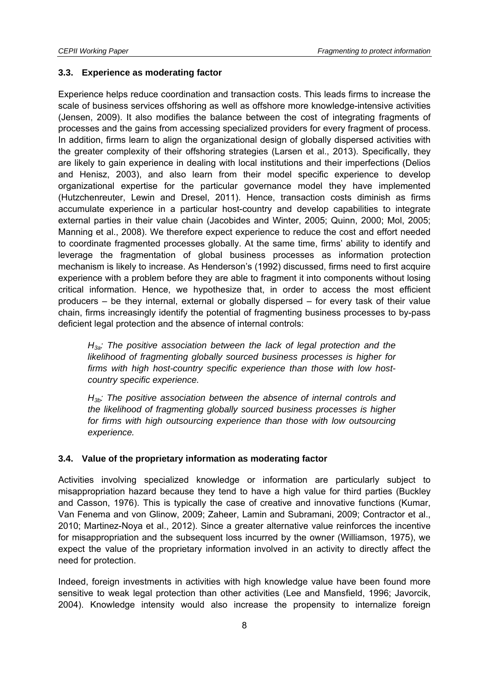#### **3.3. Experience as moderating factor**

Experience helps reduce coordination and transaction costs. This leads firms to increase the scale of business services offshoring as well as offshore more knowledge-intensive activities (Jensen, 2009). It also modifies the balance between the cost of integrating fragments of processes and the gains from accessing specialized providers for every fragment of process. In addition, firms learn to align the organizational design of globally dispersed activities with the greater complexity of their offshoring strategies (Larsen et al., 2013). Specifically, they are likely to gain experience in dealing with local institutions and their imperfections (Delios and Henisz, 2003), and also learn from their model specific experience to develop organizational expertise for the particular governance model they have implemented (Hutzchenreuter, Lewin and Dresel, 2011). Hence, transaction costs diminish as firms accumulate experience in a particular host-country and develop capabilities to integrate external parties in their value chain (Jacobides and Winter, 2005; Quinn, 2000; Mol, 2005; Manning et al., 2008). We therefore expect experience to reduce the cost and effort needed to coordinate fragmented processes globally. At the same time, firms' ability to identify and leverage the fragmentation of global business processes as information protection mechanism is likely to increase. As Henderson's (1992) discussed, firms need to first acquire experience with a problem before they are able to fragment it into components without losing critical information. Hence, we hypothesize that, in order to access the most efficient producers – be they internal, external or globally dispersed – for every task of their value chain, firms increasingly identify the potential of fragmenting business processes to by-pass deficient legal protection and the absence of internal controls:

*H3a: The positive association between the lack of legal protection and the likelihood of fragmenting globally sourced business processes is higher for firms with high host-country specific experience than those with low hostcountry specific experience.* 

*H3b: The positive association between the absence of internal controls and the likelihood of fragmenting globally sourced business processes is higher*  for firms with high outsourcing experience than those with low outsourcing *experience.* 

#### **3.4. Value of the proprietary information as moderating factor**

Activities involving specialized knowledge or information are particularly subject to misappropriation hazard because they tend to have a high value for third parties (Buckley and Casson, 1976). This is typically the case of creative and innovative functions (Kumar, Van Fenema and von Glinow, 2009; Zaheer, Lamin and Subramani, 2009; Contractor et al., 2010; Martinez-Noya et al., 2012). Since a greater alternative value reinforces the incentive for misappropriation and the subsequent loss incurred by the owner (Williamson, 1975), we expect the value of the proprietary information involved in an activity to directly affect the need for protection.

Indeed, foreign investments in activities with high knowledge value have been found more sensitive to weak legal protection than other activities (Lee and Mansfield, 1996; Javorcik, 2004). Knowledge intensity would also increase the propensity to internalize foreign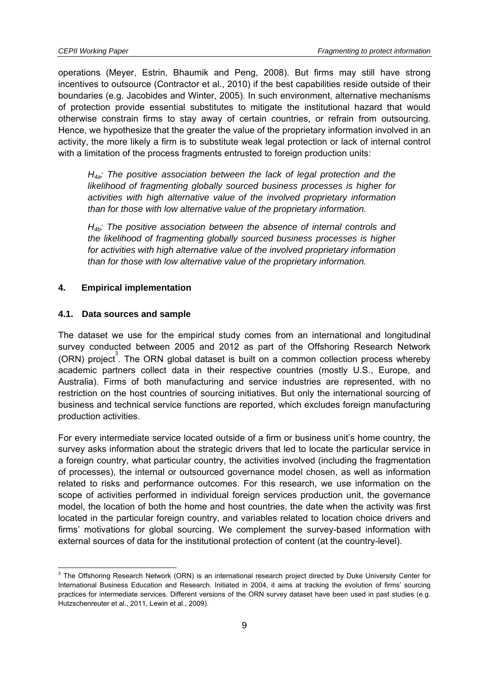operations (Meyer, Estrin, Bhaumik and Peng, 2008). But firms may still have strong incentives to outsource (Contractor et al., 2010) if the best capabilities reside outside of their boundaries (e.g. Jacobides and Winter, 2005). In such environment, alternative mechanisms of protection provide essential substitutes to mitigate the institutional hazard that would otherwise constrain firms to stay away of certain countries, or refrain from outsourcing. Hence, we hypothesize that the greater the value of the proprietary information involved in an activity, the more likely a firm is to substitute weak legal protection or lack of internal control with a limitation of the process fragments entrusted to foreign production units:

*H4a: The positive association between the lack of legal protection and the likelihood of fragmenting globally sourced business processes is higher for activities with high alternative value of the involved proprietary information than for those with low alternative value of the proprietary information.* 

*H4b: The positive association between the absence of internal controls and the likelihood of fragmenting globally sourced business processes is higher for activities with high alternative value of the involved proprietary information than for those with low alternative value of the proprietary information.* 

#### **4. Empirical implementation**

#### **4.1. Data sources and sample**

-

The dataset we use for the empirical study comes from an international and longitudinal survey conducted between 2005 and 2012 as part of the Offshoring Research Network  $(ORN)$  project<sup>3</sup>. The ORN global dataset is built on a common collection process whereby academic partners collect data in their respective countries (mostly U.S., Europe, and Australia). Firms of both manufacturing and service industries are represented, with no restriction on the host countries of sourcing initiatives. But only the international sourcing of business and technical service functions are reported, which excludes foreign manufacturing production activities.

For every intermediate service located outside of a firm or business unit's home country, the survey asks information about the strategic drivers that led to locate the particular service in a foreign country, what particular country, the activities involved (including the fragmentation of processes), the internal or outsourced governance model chosen, as well as information related to risks and performance outcomes. For this research, we use information on the scope of activities performed in individual foreign services production unit, the governance model, the location of both the home and host countries, the date when the activity was first located in the particular foreign country, and variables related to location choice drivers and firms' motivations for global sourcing. We complement the survey-based information with external sources of data for the institutional protection of content (at the country-level).

<sup>&</sup>lt;sup>3</sup> The Offshoring Research Network (ORN) is an international research project directed by Duke University Center for International Business Education and Research. Initiated in 2004, it aims at tracking the evolution of firms' sourcing practices for intermediate services. Different versions of the ORN survey dataset have been used in past studies (e.g. Hutzschenreuter et al., 2011, Lewin et al., 2009).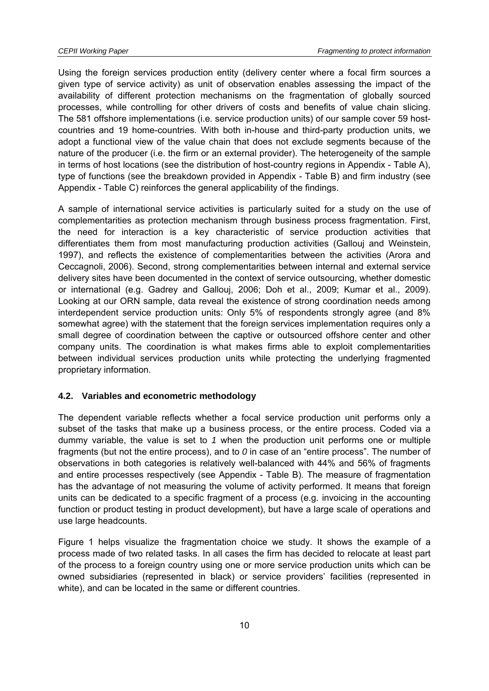Using the foreign services production entity (delivery center where a focal firm sources a given type of service activity) as unit of observation enables assessing the impact of the availability of different protection mechanisms on the fragmentation of globally sourced processes, while controlling for other drivers of costs and benefits of value chain slicing. The 581 offshore implementations (i.e. service production units) of our sample cover 59 hostcountries and 19 home-countries. With both in-house and third-party production units, we adopt a functional view of the value chain that does not exclude segments because of the nature of the producer (i.e. the firm or an external provider). The heterogeneity of the sample in terms of host locations (see the distribution of host-country regions in Appendix - Table A), type of functions (see the breakdown provided in Appendix - Table B) and firm industry (see Appendix - Table C) reinforces the general applicability of the findings.

A sample of international service activities is particularly suited for a study on the use of complementarities as protection mechanism through business process fragmentation. First, the need for interaction is a key characteristic of service production activities that differentiates them from most manufacturing production activities (Gallouj and Weinstein, 1997), and reflects the existence of complementarities between the activities (Arora and Ceccagnoli, 2006). Second, strong complementarities between internal and external service delivery sites have been documented in the context of service outsourcing, whether domestic or international (e.g. Gadrey and Gallouj, 2006; Doh et al., 2009; Kumar et al., 2009). Looking at our ORN sample, data reveal the existence of strong coordination needs among interdependent service production units: Only 5% of respondents strongly agree (and 8% somewhat agree) with the statement that the foreign services implementation requires only a small degree of coordination between the captive or outsourced offshore center and other company units. The coordination is what makes firms able to exploit complementarities between individual services production units while protecting the underlying fragmented proprietary information.

#### **4.2. Variables and econometric methodology**

The dependent variable reflects whether a focal service production unit performs only a subset of the tasks that make up a business process, or the entire process. Coded via a dummy variable, the value is set to *1* when the production unit performs one or multiple fragments (but not the entire process), and to *0* in case of an "entire process". The number of observations in both categories is relatively well-balanced with 44% and 56% of fragments and entire processes respectively (see Appendix - Table B). The measure of fragmentation has the advantage of not measuring the volume of activity performed. It means that foreign units can be dedicated to a specific fragment of a process (e.g. invoicing in the accounting function or product testing in product development), but have a large scale of operations and use large headcounts.

Figure 1 helps visualize the fragmentation choice we study. It shows the example of a process made of two related tasks. In all cases the firm has decided to relocate at least part of the process to a foreign country using one or more service production units which can be owned subsidiaries (represented in black) or service providers' facilities (represented in white), and can be located in the same or different countries.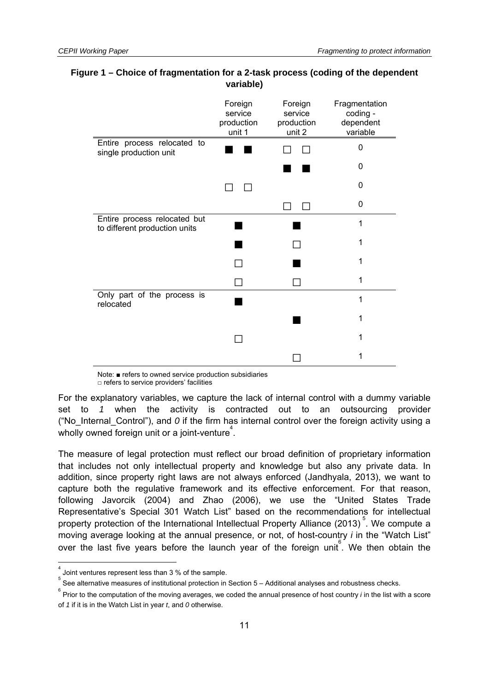|                                                               | Foreign<br>service<br>production<br>unit 1 | Foreign<br>service<br>production<br>unit 2 | Fragmentation<br>coding -<br>dependent<br>variable |
|---------------------------------------------------------------|--------------------------------------------|--------------------------------------------|----------------------------------------------------|
| Entire process relocated to<br>single production unit         |                                            |                                            | 0                                                  |
|                                                               |                                            |                                            | 0                                                  |
|                                                               |                                            |                                            | 0                                                  |
|                                                               |                                            |                                            | 0                                                  |
| Entire process relocated but<br>to different production units |                                            |                                            | 1                                                  |
|                                                               |                                            |                                            | 1                                                  |
|                                                               |                                            |                                            | 1                                                  |
|                                                               |                                            |                                            | 1                                                  |
| Only part of the process is<br>relocated                      |                                            |                                            | 1                                                  |
|                                                               |                                            |                                            | 1                                                  |
|                                                               |                                            |                                            | 1                                                  |
|                                                               |                                            |                                            |                                                    |

#### **Figure 1 – Choice of fragmentation for a 2-task process (coding of the dependent variable)**

Note: ■ refers to owned service production subsidiaries  $\square$  refers to service providers' facilities

For the explanatory variables, we capture the lack of internal control with a dummy variable set to *1* when the activity is contracted out to an outsourcing provider ("No Internal Control"), and  $O$  if the firm has internal control over the foreign activity using a wholly owned foreign unit or a joint-venture<sup>4</sup>.

The measure of legal protection must reflect our broad definition of proprietary information that includes not only intellectual property and knowledge but also any private data. In addition, since property right laws are not always enforced (Jandhyala, 2013), we want to capture both the regulative framework and its effective enforcement. For that reason, following Javorcik (2004) and Zhao (2006), we use the "United States Trade Representative's Special 301 Watch List" based on the recommendations for intellectual property protection of the International Intellectual Property Alliance (2013)<sup>5</sup>. We compute a moving average looking at the annual presence, or not, of host-country *i* in the "Watch List" over the last five years before the launch year of the foreign unit<sup>6</sup>. We then obtain the

 $\overline{a}$ 

<sup>4</sup> Joint ventures represent less than 3 % of the sample.

<sup>5</sup> See alternative measures of institutional protection in Section 5 – Additional analyses and robustness checks. 6

Prior to the computation of the moving averages, we coded the annual presence of host country *i* in the list with a score of *1* if it is in the Watch List in year *t*, and *0* otherwise.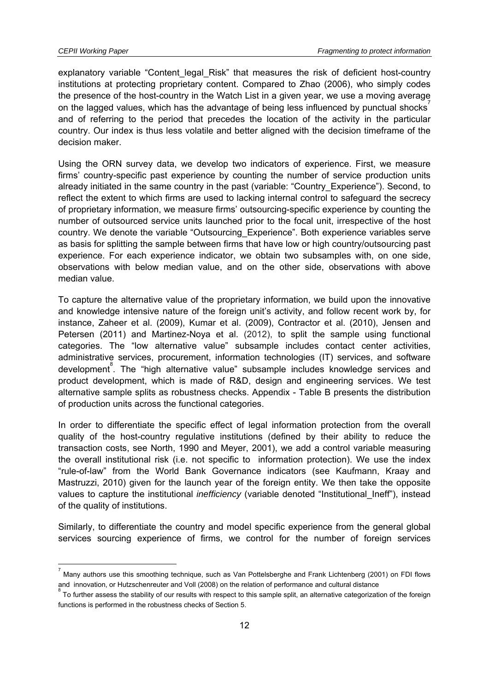-

explanatory variable "Content legal Risk" that measures the risk of deficient host-country institutions at protecting proprietary content. Compared to Zhao (2006), who simply codes the presence of the host-country in the Watch List in a given year, we use a moving average on the lagged values, which has the advantage of being less influenced by punctual shocks and of referring to the period that precedes the location of the activity in the particular country. Our index is thus less volatile and better aligned with the decision timeframe of the decision maker.

Using the ORN survey data, we develop two indicators of experience. First, we measure firms' country-specific past experience by counting the number of service production units already initiated in the same country in the past (variable: "Country\_Experience"). Second, to reflect the extent to which firms are used to lacking internal control to safeguard the secrecy of proprietary information, we measure firms' outsourcing-specific experience by counting the number of outsourced service units launched prior to the focal unit, irrespective of the host country. We denote the variable "Outsourcing\_Experience". Both experience variables serve as basis for splitting the sample between firms that have low or high country/outsourcing past experience. For each experience indicator, we obtain two subsamples with, on one side, observations with below median value, and on the other side, observations with above median value.

To capture the alternative value of the proprietary information, we build upon the innovative and knowledge intensive nature of the foreign unit's activity, and follow recent work by, for instance, Zaheer et al. (2009), Kumar et al. (2009), Contractor et al. (2010), Jensen and Petersen (2011) and Martinez-Noya et al. (2012), to split the sample using functional categories. The "low alternative value" subsample includes contact center activities, administrative services, procurement, information technologies (IT) services, and software development 8 . The "high alternative value" subsample includes knowledge services and product development, which is made of R&D, design and engineering services. We test alternative sample splits as robustness checks. Appendix - Table B presents the distribution of production units across the functional categories.

In order to differentiate the specific effect of legal information protection from the overall quality of the host-country regulative institutions (defined by their ability to reduce the transaction costs, see North, 1990 and Meyer, 2001), we add a control variable measuring the overall institutional risk (i.e. not specific to information protection). We use the index "rule-of-law" from the World Bank Governance indicators (see Kaufmann, Kraay and Mastruzzi, 2010) given for the launch year of the foreign entity. We then take the opposite values to capture the institutional *inefficiency* (variable denoted "Institutional Ineff"), instead of the quality of institutions.

Similarly, to differentiate the country and model specific experience from the general global services sourcing experience of firms, we control for the number of foreign services

<sup>7</sup> Many authors use this smoothing technique, such as Van Pottelsberghe and Frank Lichtenberg (2001) on FDI flows and innovation, or Hutzschenreuter and Voll (2008) on the relation of performance and cultural distance

To further assess the stability of our results with respect to this sample split, an alternative categorization of the foreign functions is performed in the robustness checks of Section 5.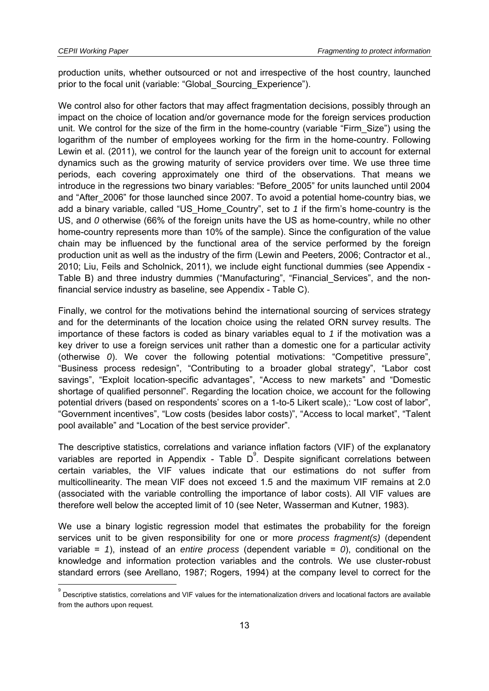production units, whether outsourced or not and irrespective of the host country, launched prior to the focal unit (variable: "Global\_Sourcing\_Experience").

We control also for other factors that may affect fragmentation decisions, possibly through an impact on the choice of location and/or governance mode for the foreign services production unit. We control for the size of the firm in the home-country (variable "Firm Size") using the logarithm of the number of employees working for the firm in the home-country. Following Lewin et al. (2011), we control for the launch year of the foreign unit to account for external dynamics such as the growing maturity of service providers over time. We use three time periods, each covering approximately one third of the observations. That means we introduce in the regressions two binary variables: "Before\_2005" for units launched until 2004 and "After 2006" for those launched since 2007. To avoid a potential home-country bias, we add a binary variable, called "US\_Home\_Country", set to *1* if the firm's home-country is the US, and *0* otherwise (66% of the foreign units have the US as home-country, while no other home-country represents more than 10% of the sample). Since the configuration of the value chain may be influenced by the functional area of the service performed by the foreign production unit as well as the industry of the firm (Lewin and Peeters, 2006; Contractor et al., 2010; Liu, Feils and Scholnick, 2011), we include eight functional dummies (see Appendix - Table B) and three industry dummies ("Manufacturing", "Financial\_Services", and the nonfinancial service industry as baseline, see Appendix - Table C).

Finally, we control for the motivations behind the international sourcing of services strategy and for the determinants of the location choice using the related ORN survey results. The importance of these factors is coded as binary variables equal to *1* if the motivation was a key driver to use a foreign services unit rather than a domestic one for a particular activity (otherwise *0*). We cover the following potential motivations: "Competitive pressure", "Business process redesign", "Contributing to a broader global strategy", "Labor cost savings", "Exploit location-specific advantages", "Access to new markets" and "Domestic shortage of qualified personnel". Regarding the location choice, we account for the following potential drivers (based on respondents' scores on a 1-to-5 Likert scale),: "Low cost of labor", "Government incentives", "Low costs (besides labor costs)", "Access to local market", "Talent pool available" and "Location of the best service provider".

The descriptive statistics, correlations and variance inflation factors (VIF) of the explanatory variables are reported in Appendix - Table  $D^{\degree}$ . Despite significant correlations between certain variables, the VIF values indicate that our estimations do not suffer from multicollinearity. The mean VIF does not exceed 1.5 and the maximum VIF remains at 2.0 (associated with the variable controlling the importance of labor costs). All VIF values are therefore well below the accepted limit of 10 (see Neter, Wasserman and Kutner, 1983).

We use a binary logistic regression model that estimates the probability for the foreign services unit to be given responsibility for one or more *process fragment(s)* (dependent variable = *1*), instead of an *entire process* (dependent variable = *0*), conditional on the knowledge and information protection variables and the controls*.* We use cluster-robust standard errors (see Arellano, 1987; Rogers, 1994) at the company level to correct for the

 9 Descriptive statistics, correlations and VIF values for the internationalization drivers and locational factors are available from the authors upon request.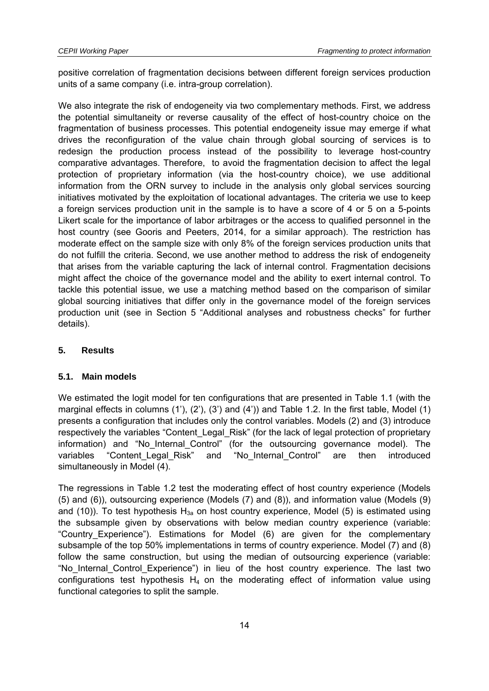positive correlation of fragmentation decisions between different foreign services production units of a same company (i.e. intra-group correlation).

We also integrate the risk of endogeneity via two complementary methods. First, we address the potential simultaneity or reverse causality of the effect of host-country choice on the fragmentation of business processes. This potential endogeneity issue may emerge if what drives the reconfiguration of the value chain through global sourcing of services is to redesign the production process instead of the possibility to leverage host-country comparative advantages. Therefore, to avoid the fragmentation decision to affect the legal protection of proprietary information (via the host-country choice), we use additional information from the ORN survey to include in the analysis only global services sourcing initiatives motivated by the exploitation of locational advantages. The criteria we use to keep a foreign services production unit in the sample is to have a score of 4 or 5 on a 5-points Likert scale for the importance of labor arbitrages or the access to qualified personnel in the host country (see Gooris and Peeters, 2014, for a similar approach). The restriction has moderate effect on the sample size with only 8% of the foreign services production units that do not fulfill the criteria. Second, we use another method to address the risk of endogeneity that arises from the variable capturing the lack of internal control. Fragmentation decisions might affect the choice of the governance model and the ability to exert internal control. To tackle this potential issue, we use a matching method based on the comparison of similar global sourcing initiatives that differ only in the governance model of the foreign services production unit (see in Section 5 "Additional analyses and robustness checks" for further details).

#### **5. Results**

#### **5.1. Main models**

We estimated the logit model for ten configurations that are presented in Table 1.1 (with the marginal effects in columns (1'), (2'), (3') and (4')) and Table 1.2. In the first table, Model (1) presents a configuration that includes only the control variables. Models (2) and (3) introduce respectively the variables "Content\_Legal\_Risk" (for the lack of legal protection of proprietary information) and "No Internal Control" (for the outsourcing governance model). The variables "Content\_Legal\_Risk" and "No\_Internal\_Control" are then introduced simultaneously in Model (4).

The regressions in Table 1.2 test the moderating effect of host country experience (Models (5) and (6)), outsourcing experience (Models (7) and (8)), and information value (Models (9) and (10)). To test hypothesis  $H_{3a}$  on host country experience, Model (5) is estimated using the subsample given by observations with below median country experience (variable: "Country\_Experience"). Estimations for Model (6) are given for the complementary subsample of the top 50% implementations in terms of country experience. Model (7) and (8) follow the same construction, but using the median of outsourcing experience (variable: "No\_Internal\_Control\_Experience") in lieu of the host country experience. The last two configurations test hypothesis  $H_4$  on the moderating effect of information value using functional categories to split the sample.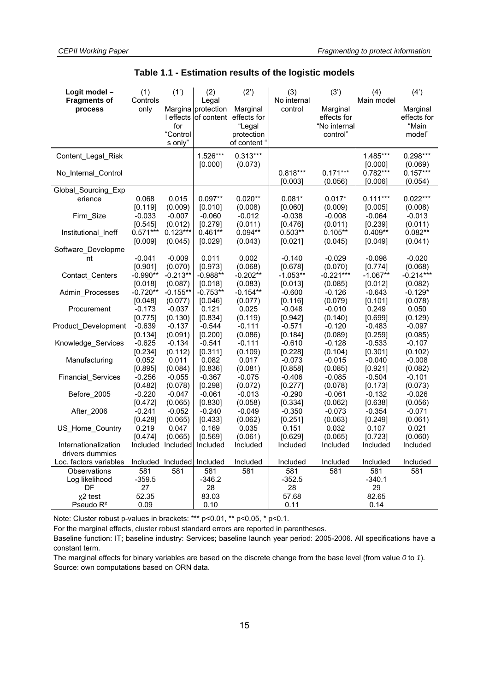| Logit model -                  | (1)               | (1')                         | (2)                         | (2')                   | (3)                    | (3')                | (4)                 | (4')                 |
|--------------------------------|-------------------|------------------------------|-----------------------------|------------------------|------------------------|---------------------|---------------------|----------------------|
| <b>Fragments of</b><br>process | Controls<br>only  |                              | Legal<br>Margina protection | Marginal               | No internal<br>control | Marginal            | Main model          | Marginal             |
|                                |                   | I effects                    |                             | of content effects for |                        | effects for         |                     | effects for          |
|                                |                   | for                          |                             | "Legal                 |                        | "No internal        |                     | "Main                |
|                                |                   | "Control                     |                             | protection             |                        | control"            |                     | model"               |
|                                |                   | s only"                      |                             | of content "           |                        |                     |                     |                      |
| Content_Legal_Risk             |                   |                              | 1.526***                    | $0.313***$             |                        |                     | 1.485***            | 0.298***             |
|                                |                   |                              | [0.000]                     | (0.073)                |                        |                     | [0.000]             | (0.069)              |
| No Internal Control            |                   |                              |                             |                        | $0.818***$             | $0.171***$          | $0.782***$          | $0.157***$           |
|                                |                   |                              |                             |                        | [0.003]                | (0.056)             | [0.006]             | (0.054)              |
| Global_Sourcing_Exp            |                   |                              |                             |                        |                        |                     |                     |                      |
| erience                        | 0.068             | 0.015                        | $0.097**$                   | $0.020**$              | $0.081*$               | $0.017*$            | $0.111***$          | $0.022***$           |
|                                | [0.119]           | (0.009)                      | [0.010]                     | (0.008)                | [0.060]                | (0.009)             | [0.005]             | (0.008)              |
| Firm Size                      | $-0.033$          | $-0.007$                     | $-0.060$                    | $-0.012$               | $-0.038$               | $-0.008$            | $-0.064$            | $-0.013$             |
|                                | [0.545]           | (0.012)                      | [0.279]                     | (0.011)<br>$0.094**$   | [0.476]                | (0.011)             | $[0.239]$           | (0.011)<br>$0.082**$ |
| Institutional Ineff            | $0.571***$        | $0.123***$                   | $0.461**$                   |                        | $0.503**$              | $0.105**$           | $0.409**$           |                      |
| Software_Developme             | [0.009]           | (0.045)                      | [0.029]                     | (0.043)                | [0.021]                | (0.045)             | [0.049]             | (0.041)              |
| nt                             | $-0.041$          | $-0.009$                     | 0.011                       | 0.002                  | $-0.140$               | $-0.029$            | $-0.098$            | $-0.020$             |
|                                | [0.901]           | (0.070)                      | [0.973]                     | (0.068)                | [0.678]                | (0.070)             | [0.774]             | (0.068)              |
| Contact_Centers                | $-0.990**$        | $-0.213**$                   | $-0.988**$                  | $-0.202**$             | $-1.053**$             | $-0.221***$         | $-1.067**$          | $-0.214***$          |
|                                | [0.018]           | (0.087)                      | [0.018]                     | (0.083)                | [0.013]                | (0.085)             | [0.012]             | (0.082)              |
| Admin Processes                | $-0.720**$        | -0.155**                     | $-0.753**$                  | $-0.154**$             | $-0.600$               | $-0.126$            | $-0.643$            | $-0.129*$            |
|                                | [0.048]           | (0.077)                      | [0.046]                     | (0.077)                | [0.116]                | (0.079)             | [0.101]             | (0.078)              |
| Procurement                    | $-0.173$          | $-0.037$                     | 0.121                       | 0.025                  | $-0.048$               | $-0.010$            | 0.249               | 0.050                |
|                                | [0.775]           | (0.130)                      | [0.834]                     | (0.119)                | [0.942]                | (0.140)             | [0.699]             | (0.129)              |
| Product_Development            | $-0.639$          | $-0.137$                     | $-0.544$                    | $-0.111$               | $-0.571$               | $-0.120$            | $-0.483$            | $-0.097$             |
|                                | [0.134]           | (0.091)                      | [0.200]                     | (0.086)                | [0.184]                | (0.089)             | [0.259]             | (0.085)              |
| Knowledge Services             | $-0.625$          | $-0.134$                     | $-0.541$                    | $-0.111$               | $-0.610$               | $-0.128$            | $-0.533$            | $-0.107$             |
|                                | [0.234]           | (0.112)                      | [0.311]                     | (0.109)                | [0.228]                | (0.104)             | [0.301]             | (0.102)              |
| Manufacturing                  | 0.052             | 0.011                        | 0.082                       | 0.017                  | $-0.073$               | $-0.015$            | $-0.040$            | $-0.008$             |
|                                | [0.895]           | (0.084)                      | [0.836]                     | (0.081)                | [0.858]                | (0.085)             | [0.921]             | (0.082)              |
| Financial_Services             | $-0.256$          | $-0.055$                     | $-0.367$                    | $-0.075$               | $-0.406$               | $-0.085$            | $-0.504$            | $-0.101$             |
|                                | [0.482]           | (0.078)                      | [0.298]                     | (0.072)                | [0.277]                | (0.078)             | [0.173]             | (0.073)              |
| Before 2005                    | $-0.220$          | $-0.047$                     | $-0.061$                    | $-0.013$               | $-0.290$               | $-0.061$            | $-0.132$            | $-0.026$             |
|                                | [0.472]           | (0.065)                      | [0.830]                     | (0.058)                | [0.334]                | (0.062)             | [0.638]             | (0.056)              |
| After 2006                     | $-0.241$          | $-0.052$                     | $-0.240$                    | $-0.049$               | $-0.350$               | $-0.073$            | $-0.354$            | $-0.071$             |
|                                | [0.428]           | (0.065)                      | [0.433]                     | (0.062)                | [0.251]                | (0.063)             | [0.249]             | (0.061)              |
| US Home Country                | 0.219             | 0.047                        | 0.169                       | 0.035                  | 0.151                  | 0.032               | 0.107               | 0.021                |
| Internationalization           | [0.474]           | (0.065)<br>Included Included | [0.569]<br>Included         | (0.061)<br>Included    | [0.629]<br>Included    | (0.065)<br>Included | [0.723]<br>Included | (0.060)<br>Included  |
| drivers dummies                |                   |                              |                             |                        |                        |                     |                     |                      |
| Loc. factors variables         | Included Included |                              | Included                    | Included               | Included               | Included            | Included            | Included             |
| Observations                   | 581               | 581                          | 581                         | 581                    | 581                    | 581                 | 581                 | 581                  |
| Log likelihood                 | $-359.5$          |                              | $-346.2$                    |                        | $-352.5$               |                     | $-340.1$            |                      |
| DF                             | 27                |                              | 28                          |                        | 28                     |                     | 29                  |                      |
| x <sub>2</sub> test            | 52.35             |                              | 83.03                       |                        | 57.68                  |                     | 82.65               |                      |
| Pseudo $R^2$                   | 0.09              |                              | 0.10                        |                        | 0.11                   |                     | 0.14                |                      |
|                                |                   |                              |                             |                        |                        |                     |                     |                      |

#### **Table 1.1 - Estimation results of the logistic models**

Note: Cluster robust p-values in brackets: \*\*\* p<0.01, \*\* p<0.05, \* p<0.1.

For the marginal effects, cluster robust standard errors are reported in parentheses.

Baseline function: IT; baseline industry: Services; baseline launch year period: 2005-2006. All specifications have a constant term.

The marginal effects for binary variables are based on the discrete change from the base level (from value *0* to *1*). Source: own computations based on ORN data.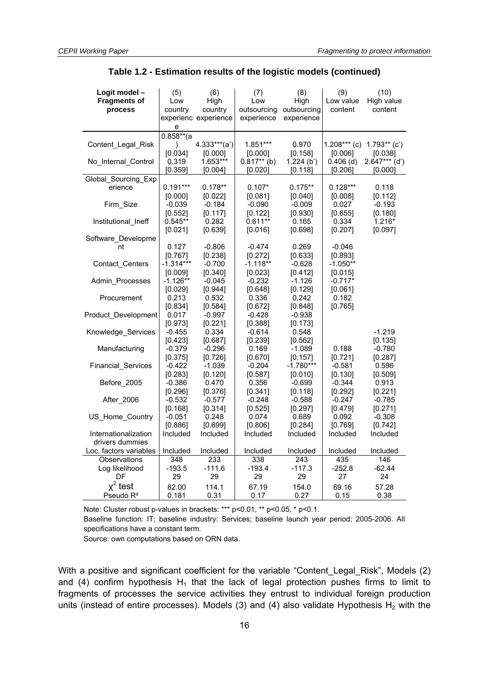| Logit model -             | (5)          | (6)                  | (7)                     | (8)         | (9)            | (10)            |
|---------------------------|--------------|----------------------|-------------------------|-------------|----------------|-----------------|
| <b>Fragments of</b>       | Low          | High                 | Low                     | High        | Low value      | High value      |
| process                   | country      | country              | outsourcing outsourcing |             | content        | content         |
|                           |              | experienc experience | experience              | experience  |                |                 |
|                           | е            |                      |                         |             |                |                 |
|                           | $0.858**$ (a |                      |                         |             |                |                 |
| Content Legal Risk        | $\lambda$    | $4.333***$ (a')      | $1.851***$              | 0.970       | $1.208***$ (c) | $1.793**$ (c')  |
|                           | [0.034]      | [0.000]              | [0.000]                 | [0.158]     | [0.006]        | [0.038]         |
| No_Internal_Control       | 0.319        | 1.653***             | $0.817**$ (b)           | 1.224(b')   | $0.406$ (d)    | $2.647***$ (d') |
|                           | [0.359]      | [0.004]              | [0.020]                 | [0.118]     | [0.206]        | [0.000]         |
| Global_Sourcing_Exp       |              |                      |                         |             |                |                 |
| erience                   | $0.191***$   | $0.178**$            | $0.107*$                | $0.175**$   | $0.128***$     | 0.118           |
|                           | [0.000]      | [0.022]              | [0.081]                 | [0.040]     | [0.008]        | [0.112]         |
| Firm Size                 | $-0.039$     | $-0.184$             | $-0.090$                | $-0.009$    | 0.027          | $-0.193$        |
|                           | [0.552]      | [0.117]              | [0.122]                 | [0.930]     | [0.655]        | [0.180]         |
| Institutional_Ineff       | $0.545**$    | 0.282                | $0.611**$               | 0.165       | 0.334          | $1.216*$        |
|                           | [0.021]      | [0.639]              | [0.016]                 | [0.698]     | [0.207]        | [0.097]         |
| Software Developme        |              |                      |                         |             |                |                 |
| nt                        | 0.127        | $-0.806$             | $-0.474$                | 0.269       | $-0.046$       |                 |
|                           | [0.767]      | [0.238]              | [0.272]                 | [0.633]     | [0.893]        |                 |
| Contact_Centers           | $-1.314***$  | $-0.700$             | $-1.118**$              | $-0.628$    | $-1.050**$     |                 |
|                           | [0.009]      | [0.340]              | [0.023]                 | [0.412]     | [0.015]        |                 |
| Admin Processes           | $-1.126**$   | $-0.045$             | $-0.232$                | $-1.126$    | $-0.717*$      |                 |
|                           | [0.029]      | [0.944]              | [0.648]                 | [0.129]     | [0.061]        |                 |
| Procurement               | 0.213        | 0.532                | 0.336                   | 0.242       | 0.182          |                 |
|                           | [0.834]      | [0.584]              | [0.672]                 | [0.848]     | [0.765]        |                 |
| Product_Development       | 0.017        | $-0.997$             | $-0.428$                | $-0.938$    |                |                 |
|                           | [0.973]      | [0.221]              | [0.388]                 | [0.173]     |                |                 |
| Knowledge_Services        | $-0.455$     | 0.334                | $-0.614$                | 0.548       |                | $-1.219$        |
|                           | [0.423]      | [0.687]              | [0.239]                 | [0.562]     |                | [0.135]         |
| Manufacturing             | $-0.379$     | $-0.296$             | 0.169                   | $-1.089$    | 0.188          | $-0.780$        |
|                           | [0.375]      | [0.726]              | [0.670]                 | [0.157]     | [0.721]        | [0.287]         |
| <b>Financial Services</b> | $-0.422$     | $-1.039$             | $-0.204$                | $-1.780***$ | $-0.581$       | 0.596           |
|                           | [0.283]      | [0.120]              | [0.587]                 | [0.010]     | [0.130]        | [0.509]         |
| Before 2005               | $-0.386$     | 0.470                | 0.356                   | $-0.699$    | $-0.344$       | 0.913           |
|                           | [0.296]      | [0.376]              | [0.341]                 | [0.118]     | [0.292]        | [0.221]         |
| After 2006                | -0.532       | $-0.577$             | $-0.248$                | $-0.588$    | $-0.247$       | $-0.785$        |
|                           | [0.168]      | [0.314]              | [0.525]                 | [0.297]     | [0.479]        | [0.271]         |
| US Home Country           | $-0.051$     | 0.248                | 0.074                   | 0.689       | 0.092          | $-0.308$        |
|                           | [0.886]      | [0.699]              | [0.806]                 | [0.284]     | [0.769]        | [0.742]         |
| Internationalization      | Included     | Included             | Included                | Included    | Included       | Included        |
| drivers dummies           |              |                      |                         |             |                |                 |
| Loc. factors variables    | Included     | Included             | Included                | Included    | Included       | Included        |
| Observations              | 348          | 233                  | 338                     | 243         | 435            | 146             |
| Log likelihood            | $-193.5$     | $-111.6$             | $-193.4$                | $-117.3$    | $-252.8$       | $-62.44$        |
| DF                        | 29           | 29                   | 29                      | 29          | 27             | 24              |
| $x^2$ test                | 82.00        | 114.1                | 67.19                   | 154.0       | 69.16          | 57.28           |
| Pseudo $R^2$              | 0.181        | 0.31                 | 0.17                    | 0.27        | 0.15           | 0.38            |

**Table 1.2 - Estimation results of the logistic models (continued)** 

Note: Cluster robust p-values in brackets: \*\*\* p<0.01, \*\* p<0.05, \* p<0.1.

Baseline function: IT; baseline industry: Services; baseline launch year period: 2005-2006. All specifications have a constant term.

Source: own computations based on ORN data.

With a positive and significant coefficient for the variable "Content\_Legal\_Risk", Models (2) and (4) confirm hypothesis  $H_1$  that the lack of legal protection pushes firms to limit to fragments of processes the service activities they entrust to individual foreign production units (instead of entire processes). Models (3) and (4) also validate Hypothesis  $H_2$  with the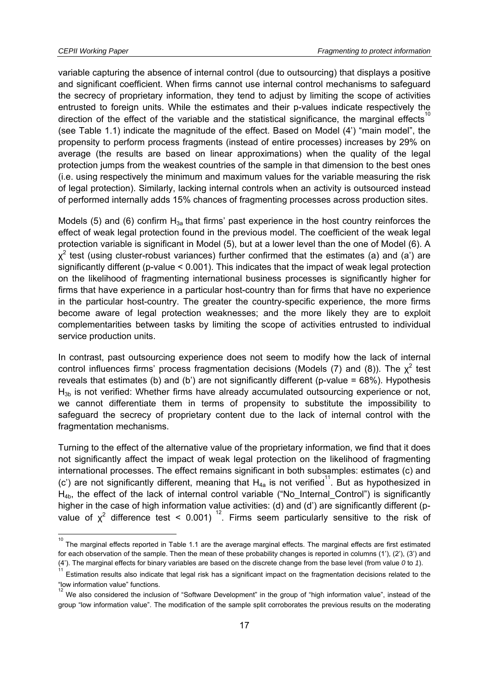variable capturing the absence of internal control (due to outsourcing) that displays a positive and significant coefficient. When firms cannot use internal control mechanisms to safeguard the secrecy of proprietary information, they tend to adjust by limiting the scope of activities entrusted to foreign units. While the estimates and their p-values indicate respectively the direction of the effect of the variable and the statistical significance, the marginal effects (see Table 1.1) indicate the magnitude of the effect. Based on Model (4') "main model", the propensity to perform process fragments (instead of entire processes) increases by 29% on average (the results are based on linear approximations) when the quality of the legal protection jumps from the weakest countries of the sample in that dimension to the best ones (i.e. using respectively the minimum and maximum values for the variable measuring the risk of legal protection). Similarly, lacking internal controls when an activity is outsourced instead of performed internally adds 15% chances of fragmenting processes across production sites.

Models (5) and (6) confirm  $H_{3a}$  that firms' past experience in the host country reinforces the effect of weak legal protection found in the previous model. The coefficient of the weak legal protection variable is significant in Model (5), but at a lower level than the one of Model (6). A  $\chi^2$  test (using cluster-robust variances) further confirmed that the estimates (a) and (a') are significantly different (p-value < 0.001). This indicates that the impact of weak legal protection on the likelihood of fragmenting international business processes is significantly higher for firms that have experience in a particular host-country than for firms that have no experience in the particular host-country. The greater the country-specific experience, the more firms become aware of legal protection weaknesses; and the more likely they are to exploit complementarities between tasks by limiting the scope of activities entrusted to individual service production units.

In contrast, past outsourcing experience does not seem to modify how the lack of internal control influences firms' process fragmentation decisions (Models (7) and (8)). The  $\chi^2$  test reveals that estimates (b) and (b') are not significantly different (p-value = 68%). Hypothesis  $H_{3b}$  is not verified: Whether firms have already accumulated outsourcing experience or not, we cannot differentiate them in terms of propensity to substitute the impossibility to safeguard the secrecy of proprietary content due to the lack of internal control with the fragmentation mechanisms.

Turning to the effect of the alternative value of the proprietary information, we find that it does not significantly affect the impact of weak legal protection on the likelihood of fragmenting international processes. The effect remains significant in both subsamples: estimates (c) and (c') are not significantly different, meaning that  $H_{4a}$  is not verified<sup>11</sup>. But as hypothesized in  $H_{4b}$ , the effect of the lack of internal control variable ("No Internal Control") is significantly higher in the case of high information value activities: (d) and (d') are significantly different (pvalue of  $x^2$  difference test < 0.001)<sup>12</sup>. Firms seem particularly sensitive to the risk of

 10 The marginal effects reported in Table 1.1 are the average marginal effects. The marginal effects are first estimated for each observation of the sample. Then the mean of these probability changes is reported in columns (1'), (2'), (3') and (4'). The marginal effects for binary variables are based on the discrete change from the base level (from value *0* to *1*). 11

Estimation results also indicate that legal risk has a significant impact on the fragmentation decisions related to the "low information value" functions. 12

We also considered the inclusion of "Software Development" in the group of "high information value", instead of the group "low information value". The modification of the sample split corroborates the previous results on the moderating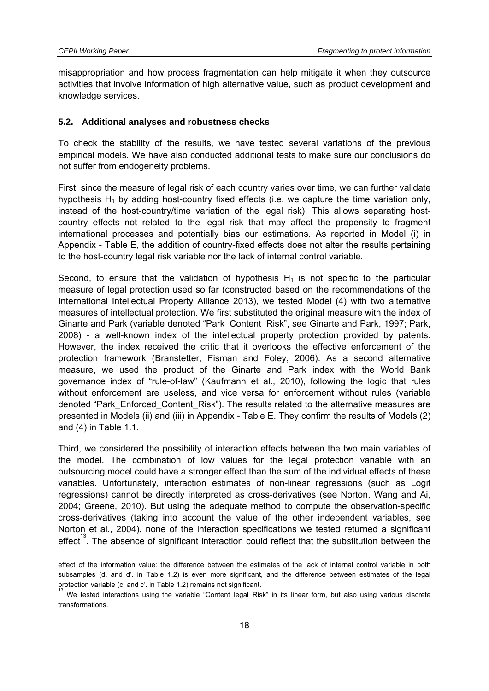-

misappropriation and how process fragmentation can help mitigate it when they outsource activities that involve information of high alternative value, such as product development and knowledge services.

#### **5.2. Additional analyses and robustness checks**

To check the stability of the results, we have tested several variations of the previous empirical models. We have also conducted additional tests to make sure our conclusions do not suffer from endogeneity problems.

First, since the measure of legal risk of each country varies over time, we can further validate hypothesis  $H_1$  by adding host-country fixed effects (i.e. we capture the time variation only, instead of the host-country/time variation of the legal risk). This allows separating hostcountry effects not related to the legal risk that may affect the propensity to fragment international processes and potentially bias our estimations. As reported in Model (i) in Appendix - Table E, the addition of country-fixed effects does not alter the results pertaining to the host-country legal risk variable nor the lack of internal control variable.

Second, to ensure that the validation of hypothesis  $H_1$  is not specific to the particular measure of legal protection used so far (constructed based on the recommendations of the International Intellectual Property Alliance 2013), we tested Model (4) with two alternative measures of intellectual protection. We first substituted the original measure with the index of Ginarte and Park (variable denoted "Park\_Content\_Risk", see Ginarte and Park, 1997; Park, 2008) - a well-known index of the intellectual property protection provided by patents. However, the index received the critic that it overlooks the effective enforcement of the protection framework (Branstetter, Fisman and Foley, 2006). As a second alternative measure, we used the product of the Ginarte and Park index with the World Bank governance index of "rule-of-law" (Kaufmann et al., 2010), following the logic that rules without enforcement are useless, and vice versa for enforcement without rules (variable denoted "Park\_Enforced\_Content\_Risk"). The results related to the alternative measures are presented in Models (ii) and (iii) in Appendix - Table E. They confirm the results of Models (2) and (4) in Table 1.1.

Third, we considered the possibility of interaction effects between the two main variables of the model. The combination of low values for the legal protection variable with an outsourcing model could have a stronger effect than the sum of the individual effects of these variables. Unfortunately, interaction estimates of non-linear regressions (such as Logit regressions) cannot be directly interpreted as cross-derivatives (see Norton, Wang and Ai, 2004; Greene, 2010). But using the adequate method to compute the observation-specific cross-derivatives (taking into account the value of the other independent variables, see Norton et al., 2004), none of the interaction specifications we tested returned a significant effect". The absence of significant interaction could reflect that the substitution between the

effect of the information value: the difference between the estimates of the lack of internal control variable in both subsamples (d. and d'. in Table 1.2) is even more significant, and the difference between estimates of the legal protection variable (c. and c'. in Table 1.2) remains not significant.

We tested interactions using the variable "Content\_legal\_Risk" in its linear form, but also using various discrete transformations.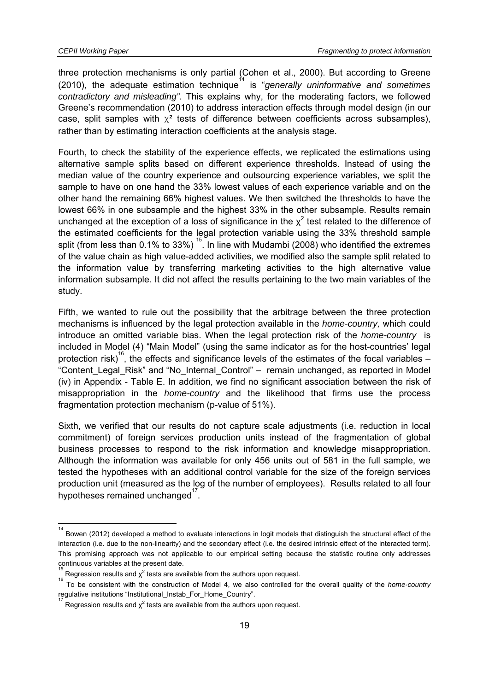-

three protection mechanisms is only partial (Cohen et al., 2000). But according to Greene (2010), the adequate estimation technique<sup>14</sup> is "*generally uninformative and sometimes contradictory and misleading".* This explains why, for the moderating factors, we followed Greene's recommendation (2010) to address interaction effects through model design (in our case, split samples with  $\chi^2$  tests of difference between coefficients across subsamples), rather than by estimating interaction coefficients at the analysis stage.

Fourth, to check the stability of the experience effects, we replicated the estimations using alternative sample splits based on different experience thresholds. Instead of using the median value of the country experience and outsourcing experience variables, we split the sample to have on one hand the 33% lowest values of each experience variable and on the other hand the remaining 66% highest values. We then switched the thresholds to have the lowest 66% in one subsample and the highest 33% in the other subsample. Results remain unchanged at the exception of a loss of significance in the  $\chi^2$  test related to the difference of the estimated coefficients for the legal protection variable using the 33% threshold sample split (from less than 0.1% to 33%)  $^{15}$ . In line with Mudambi (2008) who identified the extremes of the value chain as high value-added activities, we modified also the sample split related to the information value by transferring marketing activities to the high alternative value information subsample. It did not affect the results pertaining to the two main variables of the study.

Fifth, we wanted to rule out the possibility that the arbitrage between the three protection mechanisms is influenced by the legal protection available in the *home-country,* which could introduce an omitted variable bias. When the legal protection risk of the *home-country* is included in Model (4) "Main Model" (using the same indicator as for the host-countries' legal protection risk)<sup>16</sup>, the effects and significance levels of the estimates of the focal variables – "Content\_Legal\_Risk" and "No\_Internal\_Control" – remain unchanged, as reported in Model (iv) in Appendix - Table E. In addition, we find no significant association between the risk of misappropriation in the *home-country* and the likelihood that firms use the process fragmentation protection mechanism (p-value of 51%).

Sixth, we verified that our results do not capture scale adjustments (i.e. reduction in local commitment) of foreign services production units instead of the fragmentation of global business processes to respond to the risk information and knowledge misappropriation. Although the information was available for only 456 units out of 581 in the full sample, we tested the hypotheses with an additional control variable for the size of the foreign services production unit (measured as the log of the number of employees). Results related to all four .<br>hypotheses remained unchanged<sup>17</sup>.

<sup>14</sup> Bowen (2012) developed a method to evaluate interactions in logit models that distinguish the structural effect of the interaction (i.e. due to the non-linearity) and the secondary effect (i.e. the desired intrinsic effect of the interacted term). This promising approach was not applicable to our empirical setting because the statistic routine only addresses continuous variables at the present date.

<sup>15</sup>  $\int_{16}^{\infty}$  Regression results and  $\chi^2$  tests are available from the authors upon request.

To be consistent with the construction of Model 4, we also controlled for the overall quality of the *home-country* regulative institutions "Institutional\_Instab\_For\_Home\_Country".

Regression results and  $\chi^2$  tests are available from the authors upon request.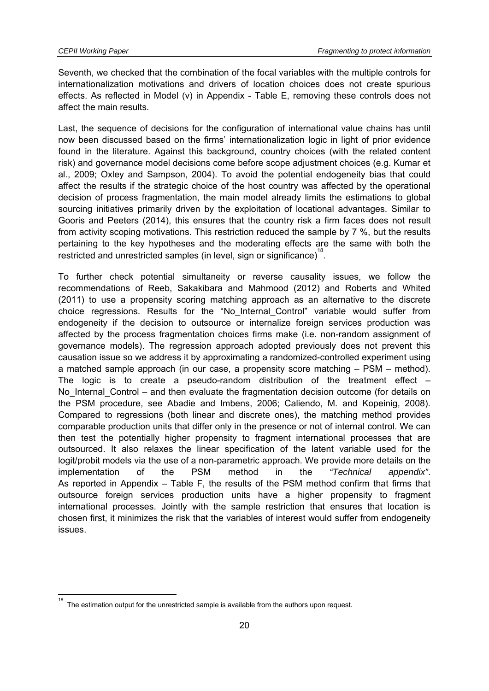Seventh, we checked that the combination of the focal variables with the multiple controls for internationalization motivations and drivers of location choices does not create spurious effects. As reflected in Model (v) in Appendix - Table E, removing these controls does not affect the main results.

Last, the sequence of decisions for the configuration of international value chains has until now been discussed based on the firms' internationalization logic in light of prior evidence found in the literature. Against this background, country choices (with the related content risk) and governance model decisions come before scope adjustment choices (e.g. Kumar et al., 2009; Oxley and Sampson, 2004). To avoid the potential endogeneity bias that could affect the results if the strategic choice of the host country was affected by the operational decision of process fragmentation, the main model already limits the estimations to global sourcing initiatives primarily driven by the exploitation of locational advantages. Similar to Gooris and Peeters (2014), this ensures that the country risk a firm faces does not result from activity scoping motivations. This restriction reduced the sample by 7 %, but the results pertaining to the key hypotheses and the moderating effects are the same with both the restricted and unrestricted samples (in level, sign or significance)<sup>18</sup>.

To further check potential simultaneity or reverse causality issues, we follow the recommendations of Reeb, Sakakibara and Mahmood (2012) and Roberts and Whited (2011) to use a propensity scoring matching approach as an alternative to the discrete choice regressions. Results for the "No\_Internal\_Control" variable would suffer from endogeneity if the decision to outsource or internalize foreign services production was affected by the process fragmentation choices firms make (i.e. non-random assignment of governance models). The regression approach adopted previously does not prevent this causation issue so we address it by approximating a randomized-controlled experiment using a matched sample approach (in our case, a propensity score matching – PSM – method). The logic is to create a pseudo-random distribution of the treatment effect  $-$ No Internal Control – and then evaluate the fragmentation decision outcome (for details on the PSM procedure, see Abadie and Imbens, 2006; Caliendo, M. and Kopeinig, 2008). Compared to regressions (both linear and discrete ones), the matching method provides comparable production units that differ only in the presence or not of internal control. We can then test the potentially higher propensity to fragment international processes that are outsourced. It also relaxes the linear specification of the latent variable used for the logit/probit models via the use of a non-parametric approach. We provide more details on the implementation of the PSM method in the *"Technical appendix"*. As reported in Appendix – Table F, the results of the PSM method confirm that firms that outsource foreign services production units have a higher propensity to fragment international processes. Jointly with the sample restriction that ensures that location is chosen first, it minimizes the risk that the variables of interest would suffer from endogeneity issues.

THE STREET THE ESTIMATE:<br>The estimation output for the unrestricted sample is available from the authors upon request.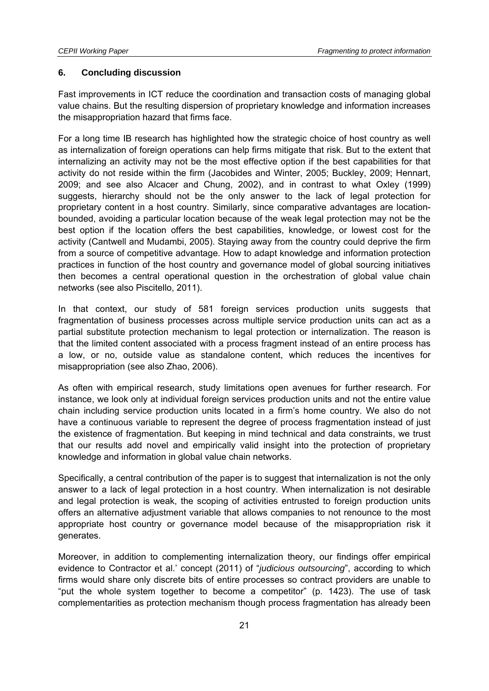#### **6. Concluding discussion**

Fast improvements in ICT reduce the coordination and transaction costs of managing global value chains. But the resulting dispersion of proprietary knowledge and information increases the misappropriation hazard that firms face.

For a long time IB research has highlighted how the strategic choice of host country as well as internalization of foreign operations can help firms mitigate that risk. But to the extent that internalizing an activity may not be the most effective option if the best capabilities for that activity do not reside within the firm (Jacobides and Winter, 2005; Buckley, 2009; Hennart, 2009; and see also Alcacer and Chung, 2002), and in contrast to what Oxley (1999) suggests, hierarchy should not be the only answer to the lack of legal protection for proprietary content in a host country. Similarly, since comparative advantages are locationbounded, avoiding a particular location because of the weak legal protection may not be the best option if the location offers the best capabilities, knowledge, or lowest cost for the activity (Cantwell and Mudambi, 2005). Staying away from the country could deprive the firm from a source of competitive advantage. How to adapt knowledge and information protection practices in function of the host country and governance model of global sourcing initiatives then becomes a central operational question in the orchestration of global value chain networks (see also Piscitello, 2011).

In that context, our study of 581 foreign services production units suggests that fragmentation of business processes across multiple service production units can act as a partial substitute protection mechanism to legal protection or internalization. The reason is that the limited content associated with a process fragment instead of an entire process has a low, or no, outside value as standalone content, which reduces the incentives for misappropriation (see also Zhao, 2006).

As often with empirical research, study limitations open avenues for further research. For instance, we look only at individual foreign services production units and not the entire value chain including service production units located in a firm's home country. We also do not have a continuous variable to represent the degree of process fragmentation instead of just the existence of fragmentation. But keeping in mind technical and data constraints, we trust that our results add novel and empirically valid insight into the protection of proprietary knowledge and information in global value chain networks.

Specifically, a central contribution of the paper is to suggest that internalization is not the only answer to a lack of legal protection in a host country. When internalization is not desirable and legal protection is weak, the scoping of activities entrusted to foreign production units offers an alternative adjustment variable that allows companies to not renounce to the most appropriate host country or governance model because of the misappropriation risk it generates.

Moreover, in addition to complementing internalization theory, our findings offer empirical evidence to Contractor et al.' concept (2011) of "*judicious outsourcing*", according to which firms would share only discrete bits of entire processes so contract providers are unable to "put the whole system together to become a competitor" (p. 1423). The use of task complementarities as protection mechanism though process fragmentation has already been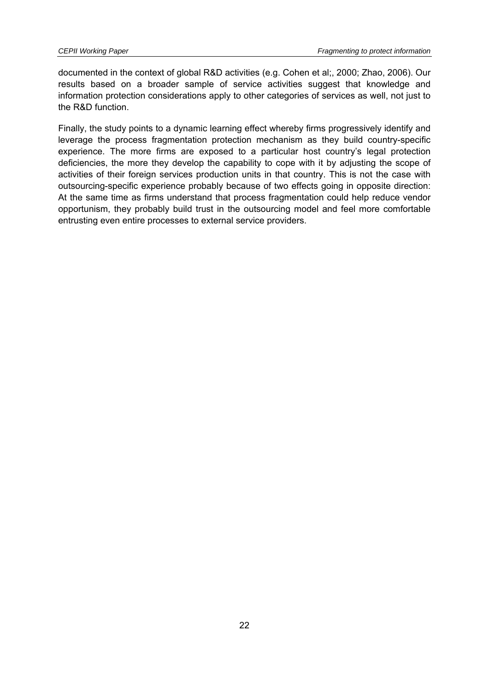documented in the context of global R&D activities (e.g. Cohen et al;, 2000; Zhao, 2006). Our results based on a broader sample of service activities suggest that knowledge and information protection considerations apply to other categories of services as well, not just to the R&D function.

Finally, the study points to a dynamic learning effect whereby firms progressively identify and leverage the process fragmentation protection mechanism as they build country-specific experience. The more firms are exposed to a particular host country's legal protection deficiencies, the more they develop the capability to cope with it by adjusting the scope of activities of their foreign services production units in that country. This is not the case with outsourcing-specific experience probably because of two effects going in opposite direction: At the same time as firms understand that process fragmentation could help reduce vendor opportunism, they probably build trust in the outsourcing model and feel more comfortable entrusting even entire processes to external service providers.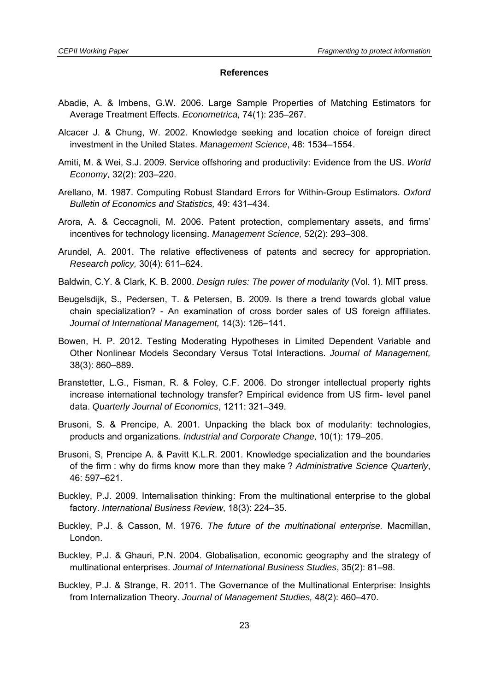#### **References**

- Abadie, A. & Imbens, G.W. 2006. Large Sample Properties of Matching Estimators for Average Treatment Effects. *Econometrica,* 74(1): 235–267.
- Alcacer J. & Chung, W. 2002. Knowledge seeking and location choice of foreign direct investment in the United States. *Management Science*, 48: 1534–1554.
- Amiti, M. & Wei, S.J. 2009. Service offshoring and productivity: Evidence from the US. *World Economy,* 32(2): 203–220.
- Arellano, M. 1987. Computing Robust Standard Errors for Within-Group Estimators. *Oxford Bulletin of Economics and Statistics,* 49: 431–434.
- Arora, A. & Ceccagnoli, M. 2006. Patent protection, complementary assets, and firms' incentives for technology licensing. *Management Science,* 52(2): 293–308.
- Arundel, A. 2001. The relative effectiveness of patents and secrecy for appropriation. *Research policy,* 30(4): 611–624.
- Baldwin, C.Y. & Clark, K. B. 2000. *Design rules: The power of modularity* (Vol. 1). MIT press.
- Beugelsdijk, S., Pedersen, T. & Petersen, B. 2009. Is there a trend towards global value chain specialization? - An examination of cross border sales of US foreign affiliates. *Journal of International Management,* 14(3): 126–141.
- Bowen, H. P. 2012. Testing Moderating Hypotheses in Limited Dependent Variable and Other Nonlinear Models Secondary Versus Total Interactions. *Journal of Management,* 38(3): 860–889.
- Branstetter, L.G., Fisman, R. & Foley, C.F. 2006. Do stronger intellectual property rights increase international technology transfer? Empirical evidence from US firm- level panel data. *Quarterly Journal of Economics*, 1211: 321–349.
- Brusoni, S. & Prencipe, A. 2001. Unpacking the black box of modularity: technologies, products and organizations*. Industrial and Corporate Change,* 10(1): 179–205.
- Brusoni, S, Prencipe A. & Pavitt K.L.R. 2001. Knowledge specialization and the boundaries of the firm : why do firms know more than they make ? *Administrative Science Quarterly*, 46: 597–621.
- Buckley, P.J. 2009. Internalisation thinking: From the multinational enterprise to the global factory. *International Business Review*, 18(3): 224–35.
- Buckley, P.J. & Casson, M. 1976. *The future of the multinational enterprise.* Macmillan, London.
- Buckley, P.J. & Ghauri, P.N. 2004. Globalisation, economic geography and the strategy of multinational enterprises. *Journal of International Business Studies*, 35(2): 81–98.
- Buckley, P.J. & Strange, R. 2011. The Governance of the Multinational Enterprise: Insights from Internalization Theory. *Journal of Management Studies,* 48(2): 460–470.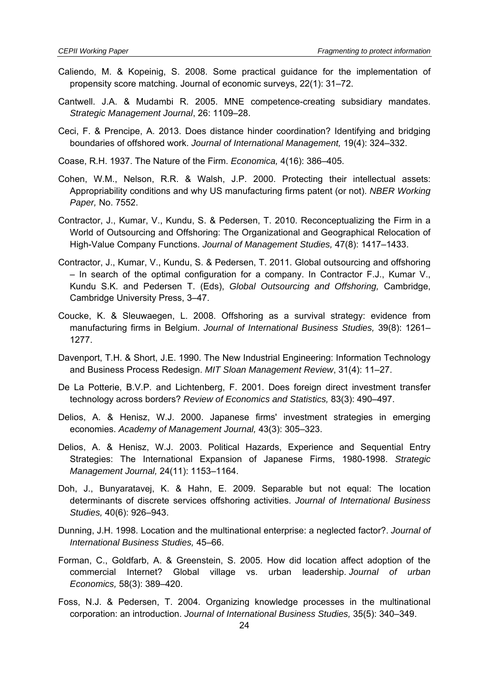- Caliendo, M. & Kopeinig, S. 2008. Some practical guidance for the implementation of propensity score matching. Journal of economic surveys, 22(1): 31–72.
- Cantwell. J.A. & Mudambi R. 2005. MNE competence-creating subsidiary mandates. *Strategic Management Journal*, 26: 1109–28.
- Ceci, F. & Prencipe, A. 2013. Does distance hinder coordination? Identifying and bridging boundaries of offshored work. *Journal of International Management,* 19(4): 324–332.
- Coase, R.H. 1937. The Nature of the Firm. *Economica,* 4(16): 386–405.
- Cohen, W.M., Nelson, R.R. & Walsh, J.P. 2000. Protecting their intellectual assets: Appropriability conditions and why US manufacturing firms patent (or not). *NBER Working Paper,* No. 7552.
- Contractor, J., Kumar, V., Kundu, S. & Pedersen, T. 2010. Reconceptualizing the Firm in a World of Outsourcing and Offshoring: The Organizational and Geographical Relocation of High-Value Company Functions. *Journal of Management Studies,* 47(8): 1417–1433.
- Contractor, J., Kumar, V., Kundu, S. & Pedersen, T. 2011. Global outsourcing and offshoring – In search of the optimal configuration for a company. In Contractor F.J., Kumar V., Kundu S.K. and Pedersen T. (Eds), *Global Outsourcing and Offshoring,* Cambridge, Cambridge University Press, 3–47.
- Coucke, K. & Sleuwaegen, L. 2008. Offshoring as a survival strategy: evidence from manufacturing firms in Belgium. *Journal of International Business Studies,* 39(8): 1261– 1277.
- Davenport, T.H. & Short, J.E. 1990. The New Industrial Engineering: Information Technology and Business Process Redesign. *MIT Sloan Management Review*, 31(4): 11–27.
- De La Potterie, B.V.P. and Lichtenberg, F. 2001. Does foreign direct investment transfer technology across borders? *Review of Economics and Statistics,* 83(3): 490–497.
- Delios, A. & Henisz, W.J. 2000. Japanese firms' investment strategies in emerging economies. *Academy of Management Journal,* 43(3): 305–323.
- Delios, A. & Henisz, W.J. 2003. Political Hazards, Experience and Sequential Entry Strategies: The International Expansion of Japanese Firms, 1980-1998. *Strategic Management Journal,* 24(11): 1153–1164.
- Doh, J., Bunyaratavej, K. & Hahn, E. 2009. Separable but not equal: The location determinants of discrete services offshoring activities. *Journal of International Business Studies,* 40(6): 926–943.
- Dunning, J.H. 1998. Location and the multinational enterprise: a neglected factor?. *Journal of International Business Studies,* 45–66.
- Forman, C., Goldfarb, A. & Greenstein, S. 2005. How did location affect adoption of the commercial Internet? Global village vs. urban leadership. *Journal of urban Economics,* 58(3): 389–420.
- Foss, N.J. & Pedersen, T. 2004. Organizing knowledge processes in the multinational corporation: an introduction. *Journal of International Business Studies,* 35(5): 340–349.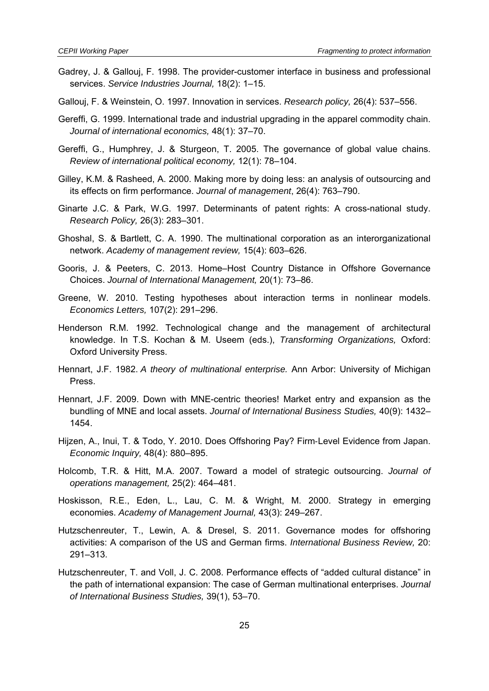- Gadrey, J. & Gallouj, F. 1998. The provider-customer interface in business and professional services. *Service Industries Journal,* 18(2): 1–15.
- Gallouj, F. & Weinstein, O. 1997. Innovation in services. *Research policy,* 26(4): 537–556.
- Gereffi, G. 1999. International trade and industrial upgrading in the apparel commodity chain. *Journal of international economics,* 48(1): 37–70.
- Gereffi, G., Humphrey, J. & Sturgeon, T. 2005. The governance of global value chains. *Review of international political economy,* 12(1): 78–104.
- Gilley, K.M. & Rasheed, A. 2000. Making more by doing less: an analysis of outsourcing and its effects on firm performance. *Journal of management*, 26(4): 763–790.
- Ginarte J.C. & Park, W.G. 1997. Determinants of patent rights: A cross-national study. *Research Policy,* 26(3): 283–301.
- Ghoshal, S. & Bartlett, C. A. 1990. The multinational corporation as an interorganizational network. *Academy of management review,* 15(4): 603–626.
- Gooris, J. & Peeters, C. 2013. Home–Host Country Distance in Offshore Governance Choices. *Journal of International Management,* 20(1): 73–86.
- Greene, W. 2010. Testing hypotheses about interaction terms in nonlinear models. *Economics Letters,* 107(2): 291–296.
- Henderson R.M. 1992. Technological change and the management of architectural knowledge. In T.S. Kochan & M. Useem (eds.), *Transforming Organizations,* Oxford: Oxford University Press.
- Hennart, J.F. 1982. *A theory of multinational enterprise.* Ann Arbor: University of Michigan Press.
- Hennart, J.F. 2009. Down with MNE-centric theories! Market entry and expansion as the bundling of MNE and local assets. *Journal of International Business Studies,* 40(9): 1432– 1454.
- Hijzen, A., Inui, T. & Todo, Y. 2010. Does Offshoring Pay? Firm‐Level Evidence from Japan. *Economic Inquiry,* 48(4): 880–895.
- Holcomb, T.R. & Hitt, M.A. 2007. Toward a model of strategic outsourcing. *Journal of operations management,* 25(2): 464–481.
- Hoskisson, R.E., Eden, L., Lau, C. M. & Wright, M. 2000. Strategy in emerging economies. *Academy of Management Journal,* 43(3): 249–267.
- Hutzschenreuter, T., Lewin, A. & Dresel, S. 2011. Governance modes for offshoring activities: A comparison of the US and German firms. *International Business Review,* 20: 291–313.
- Hutzschenreuter, T. and Voll, J. C. 2008. Performance effects of "added cultural distance" in the path of international expansion: The case of German multinational enterprises. *Journal of International Business Studies,* 39(1), 53–70.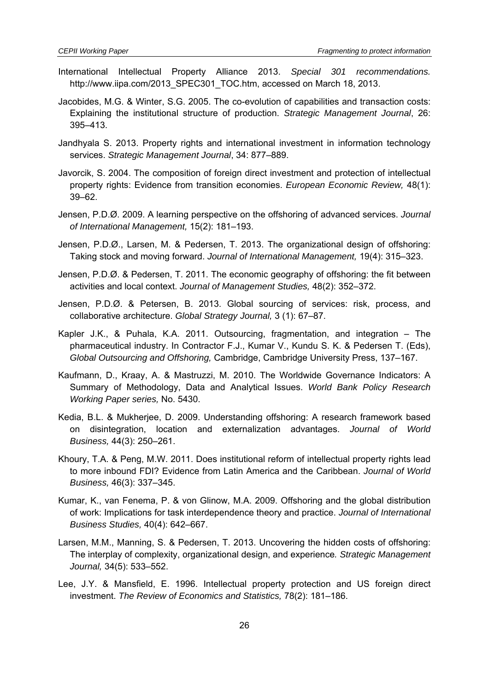- International Intellectual Property Alliance 2013. *Special 301 recommendations.* http://www.iipa.com/2013\_SPEC301\_TOC.htm, accessed on March 18, 2013.
- Jacobides, M.G. & Winter, S.G. 2005. The co-evolution of capabilities and transaction costs: Explaining the institutional structure of production. *Strategic Management Journal*, 26: 395–413.
- Jandhyala S. 2013. Property rights and international investment in information technology services. *Strategic Management Journal*, 34: 877–889.
- Javorcik, S. 2004. The composition of foreign direct investment and protection of intellectual property rights: Evidence from transition economies. *European Economic Review,* 48(1): 39–62.
- Jensen, P.D.Ø. 2009. A learning perspective on the offshoring of advanced services. *Journal of International Management,* 15(2): 181–193.
- Jensen, P.D.Ø., Larsen, M. & Pedersen, T. 2013. The organizational design of offshoring: Taking stock and moving forward. *Journal of International Management,* 19(4): 315–323.
- Jensen, P.D.Ø. & Pedersen, T. 2011. The economic geography of offshoring: the fit between activities and local context. *Journal of Management Studies,* 48(2): 352–372.
- Jensen, P.D.Ø. & Petersen, B. 2013. Global sourcing of services: risk, process, and collaborative architecture. *Global Strategy Journal,* 3 (1): 67–87.
- Kapler J.K., & Puhala, K.A. 2011. Outsourcing, fragmentation, and integration The pharmaceutical industry. In Contractor F.J., Kumar V., Kundu S. K. & Pedersen T. (Eds), *Global Outsourcing and Offshoring,* Cambridge, Cambridge University Press, 137–167.
- Kaufmann, D., Kraay, A. & Mastruzzi, M. 2010. The Worldwide Governance Indicators: A Summary of Methodology, Data and Analytical Issues. *World Bank Policy Research Working Paper series,* No. 5430.
- Kedia, B.L. & Mukherjee, D. 2009. Understanding offshoring: A research framework based on disintegration, location and externalization advantages. *Journal of World Business,* 44(3): 250–261.
- Khoury, T.A. & Peng, M.W. 2011. Does institutional reform of intellectual property rights lead to more inbound FDI? Evidence from Latin America and the Caribbean. *Journal of World Business,* 46(3): 337–345.
- Kumar, K., van Fenema, P. & von Glinow, M.A. 2009. Offshoring and the global distribution of work: Implications for task interdependence theory and practice. *Journal of International Business Studies,* 40(4): 642–667.
- Larsen, M.M., Manning, S. & Pedersen, T. 2013. Uncovering the hidden costs of offshoring: The interplay of complexity, organizational design, and experience*. Strategic Management Journal,* 34(5): 533–552.
- Lee, J.Y. & Mansfield, E. 1996. Intellectual property protection and US foreign direct investment. *The Review of Economics and Statistics,* 78(2): 181–186.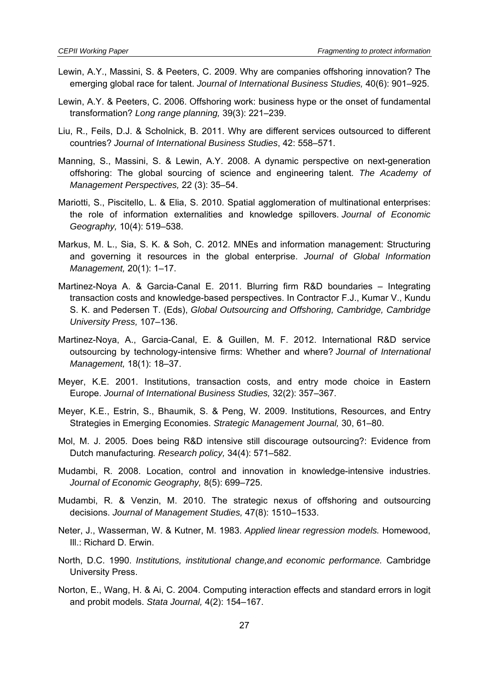- Lewin, A.Y., Massini, S. & Peeters, C. 2009. Why are companies offshoring innovation? The emerging global race for talent. *Journal of International Business Studies,* 40(6): 901–925.
- Lewin, A.Y. & Peeters, C. 2006. Offshoring work: business hype or the onset of fundamental transformation? *Long range planning,* 39(3): 221–239.
- Liu, R., Feils, D.J. & Scholnick, B. 2011. Why are different services outsourced to different countries? *Journal of International Business Studies*, 42: 558–571.
- Manning, S., Massini, S. & Lewin, A.Y. 2008. A dynamic perspective on next-generation offshoring: The global sourcing of science and engineering talent. *The Academy of Management Perspectives,* 22 (3): 35–54.
- Mariotti, S., Piscitello, L. & Elia, S. 2010. Spatial agglomeration of multinational enterprises: the role of information externalities and knowledge spillovers. *Journal of Economic Geography,* 10(4): 519–538.
- Markus, M. L., Sia, S. K. & Soh, C. 2012. MNEs and information management: Structuring and governing it resources in the global enterprise. *Journal of Global Information Management,* 20(1): 1–17.
- Martinez-Noya A. & Garcia-Canal E. 2011. Blurring firm R&D boundaries Integrating transaction costs and knowledge-based perspectives. In Contractor F.J., Kumar V., Kundu S. K. and Pedersen T. (Eds), *Global Outsourcing and Offshoring, Cambridge, Cambridge University Press,* 107–136.
- Martinez-Noya, A., Garcia-Canal, E. & Guillen, M. F. 2012. International R&D service outsourcing by technology-intensive firms: Whether and where? *Journal of International Management,* 18(1): 18–37.
- Meyer, K.E. 2001. Institutions, transaction costs, and entry mode choice in Eastern Europe. *Journal of International Business Studies,* 32(2): 357–367.
- Meyer, K.E., Estrin, S., Bhaumik, S. & Peng, W. 2009. Institutions, Resources, and Entry Strategies in Emerging Economies. *Strategic Management Journal,* 30, 61–80.
- Mol, M. J. 2005. Does being R&D intensive still discourage outsourcing?: Evidence from Dutch manufacturing*. Research policy,* 34(4): 571–582.
- Mudambi, R. 2008. Location, control and innovation in knowledge-intensive industries. *Journal of Economic Geography,* 8(5): 699–725.
- Mudambi, R. & Venzin, M. 2010. The strategic nexus of offshoring and outsourcing decisions. *Journal of Management Studies,* 47(8): 1510–1533.
- Neter, J., Wasserman, W. & Kutner, M. 1983. *Applied linear regression models.* Homewood, Ill.: Richard D. Erwin.
- North, D.C. 1990. *Institutions, institutional change,and economic performance.* Cambridge University Press.
- Norton, E., Wang, H. & Ai, C. 2004. Computing interaction effects and standard errors in logit and probit models. *Stata Journal,* 4(2): 154–167.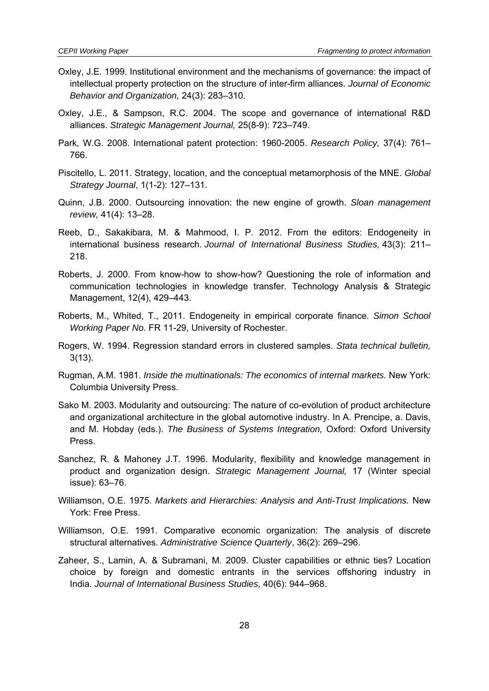- Oxley, J.E. 1999. Institutional environment and the mechanisms of governance: the impact of intellectual property protection on the structure of inter-firm alliances. *Journal of Economic Behavior and Organization,* 24(3): 283–310.
- Oxley, J.E., & Sampson, R.C. 2004. The scope and governance of international R&D alliances. *Strategic Management Journal,* 25(8-9): 723–749.
- Park, W.G. 2008. International patent protection: 1960-2005. *Research Policy,* 37(4): 761– 766.
- Piscitello, L. 2011. Strategy, location, and the conceptual metamorphosis of the MNE. *Global Strategy Journal*, 1(1-2): 127–131.
- Quinn, J.B. 2000. Outsourcing innovation: the new engine of growth. *Sloan management review,* 41(4): 13–28.
- Reeb, D., Sakakibara, M. & Mahmood, I. P. 2012. From the editors: Endogeneity in international business research. *Journal of International Business Studies,* 43(3): 211– 218.
- Roberts, J. 2000. From know-how to show-how? Questioning the role of information and communication technologies in knowledge transfer. Technology Analysis & Strategic Management, 12(4), 429–443.
- Roberts, M., Whited, T., 2011. Endogeneity in empirical corporate finance. *Simon School Working Paper No.* FR 11-29, University of Rochester.
- Rogers, W. 1994. Regression standard errors in clustered samples. *Stata technical bulletin,* 3(13).
- Rugman, A.M. 1981. *Inside the multinationals: The economics of internal markets.* New York: Columbia University Press.
- Sako M. 2003. Modularity and outsourcing: The nature of co-evolution of product architecture and organizational architecture in the global automotive industry. In A. Prencipe, a. Davis, and M. Hobday (eds.). *The Business of Systems Integration,* Oxford: Oxford University Press.
- Sanchez, R. & Mahoney J.T. 1996. Modularity, flexibility and knowledge management in product and organization design. *Strategic Management Journal,* 17 (Winter special issue): 63–76.
- Williamson, O.E. 1975. *Markets and Hierarchies: Analysis and Anti-Trust Implications.* New York: Free Press.
- Williamson, O.E. 1991. Comparative economic organization: The analysis of discrete structural alternatives. *Administrative Science Quarterly*, 36(2): 269–296.
- Zaheer, S., Lamin, A. & Subramani, M. 2009. Cluster capabilities or ethnic ties? Location choice by foreign and domestic entrants in the services offshoring industry in India. *Journal of International Business Studies,* 40(6): 944–968.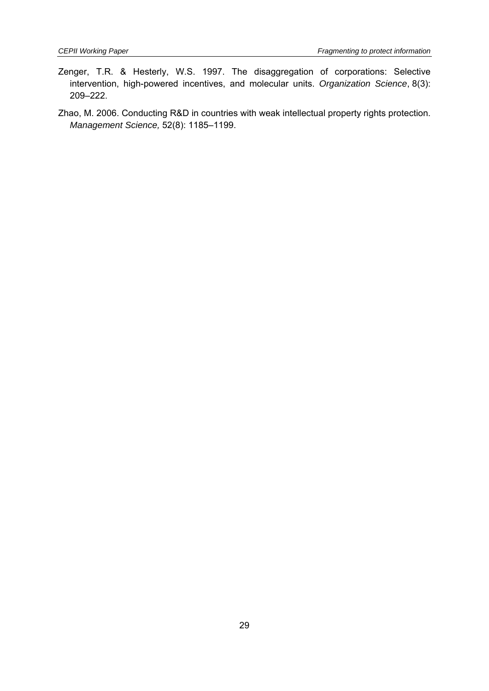- Zenger, T.R. & Hesterly, W.S. 1997. The disaggregation of corporations: Selective intervention, high-powered incentives, and molecular units. *Organization Science*, 8(3): 209–222.
- Zhao, M. 2006. Conducting R&D in countries with weak intellectual property rights protection. *Management Science,* 52(8): 1185–1199.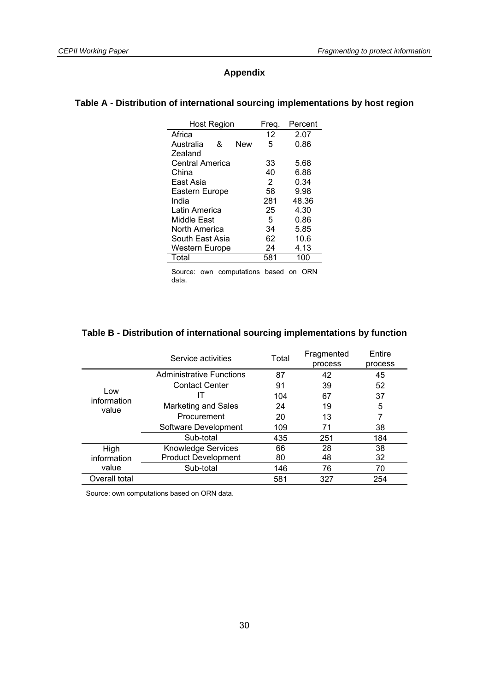#### **Appendix**

#### **Table A - Distribution of international sourcing implementations by host region**

| <b>Host Region</b>    |   | Frea.      | Percent |       |
|-----------------------|---|------------|---------|-------|
| Africa                |   |            | 12      | 2.07  |
| Australia             | & | <b>New</b> | 5       | 0.86  |
| Zealand               |   |            |         |       |
| Central America       |   |            | 33      | 5.68  |
| China                 |   |            | 40      | 6.88  |
| East Asia             |   |            | 2       | 0.34  |
| Eastern Europe        |   |            | 58      | 9.98  |
| India                 |   |            | 281     | 48.36 |
| Latin America         |   |            | 25      | 4.30  |
| Middle East           |   |            | 5       | 0.86  |
| North America         |   |            | 34      | 5.85  |
| South East Asia       |   |            | 62      | 10.6  |
| <b>Western Europe</b> |   | 24         | 4.13    |       |
| Total                 |   |            | 581     | 100   |

Source: own computations based on ORN data.

#### **Table B - Distribution of international sourcing implementations by function**

|                             | Service activities              | Total | Fragmented<br>process | Entire<br>process |
|-----------------------------|---------------------------------|-------|-----------------------|-------------------|
|                             | <b>Administrative Functions</b> | 87    | 42                    | 45                |
|                             | <b>Contact Center</b>           | 91    | 39                    | 52                |
| Low<br>information<br>value |                                 | 104   | 67                    | 37                |
|                             | <b>Marketing and Sales</b>      | 24    | 19                    | 5                 |
|                             | Procurement                     | 20    | 13                    | 7                 |
|                             | Software Development            | 109   | 71                    | 38                |
|                             | Sub-total                       | 435   | 251                   | 184               |
| High                        | <b>Knowledge Services</b>       | 66    | 28                    | 38                |
| information                 | <b>Product Development</b>      | 80    | 48                    | 32                |
| value                       | Sub-total                       | 146   | 76                    | 70                |
| Overall total               |                                 | 581   | 327                   | 254               |

Source: own computations based on ORN data.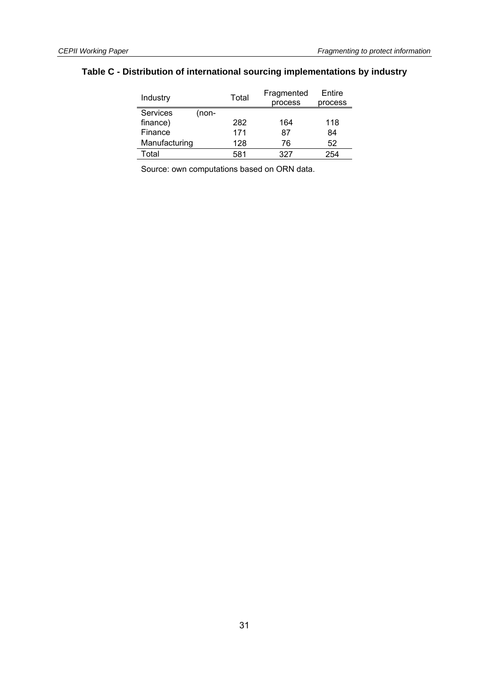#### **Table C - Distribution of international sourcing implementations by industry**

| Industry                 | Total | Fragmented<br>process | Entire<br>process |
|--------------------------|-------|-----------------------|-------------------|
| <b>Services</b><br>(non- |       |                       |                   |
| finance)                 | 282   | 164                   | 118               |
| Finance                  | 171   | 87                    | 84                |
| Manufacturing            | 128   | 76                    | 52                |
| Total                    | 581   | 327                   | 254               |

Source: own computations based on ORN data.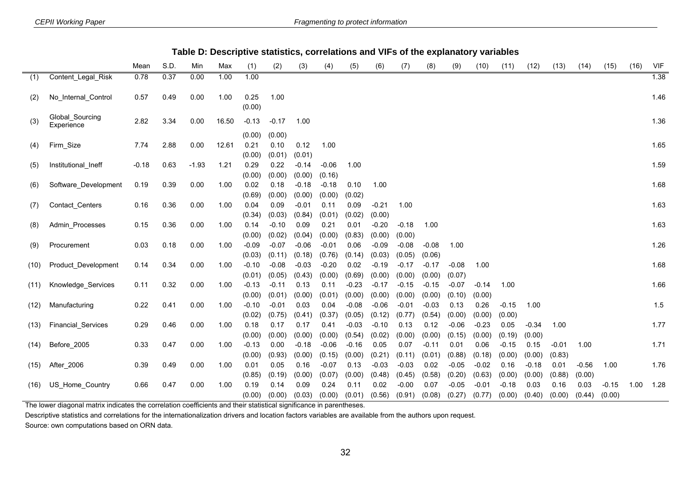|--|

|      |                               | Mean    | S.D. | Min     | Max   | (1)     | (2)     | (3)     | (4)     | (5)     | (6)     | (7)     | (8)     | (9)     | (10)    | (11)    | (12)    | (13)    | (14)    | (15)    | (16) | <b>VIF</b> |
|------|-------------------------------|---------|------|---------|-------|---------|---------|---------|---------|---------|---------|---------|---------|---------|---------|---------|---------|---------|---------|---------|------|------------|
| (1)  | Content_Legal_Risk            | 0.78    | 0.37 | 0.00    | 1.00  | 1.00    |         |         |         |         |         |         |         |         |         |         |         |         |         |         |      | 1.38       |
| (2)  | No Internal Control           | 0.57    | 0.49 | 0.00    | 1.00  | 0.25    | 1.00    |         |         |         |         |         |         |         |         |         |         |         |         |         |      | 1.46       |
|      |                               |         |      |         |       | (0.00)  |         |         |         |         |         |         |         |         |         |         |         |         |         |         |      |            |
| (3)  | Global_Sourcing<br>Experience | 2.82    | 3.34 | 0.00    | 16.50 | $-0.13$ | $-0.17$ | 1.00    |         |         |         |         |         |         |         |         |         |         |         |         |      | 1.36       |
|      |                               |         |      |         |       | (0.00)  | (0.00)  |         |         |         |         |         |         |         |         |         |         |         |         |         |      |            |
| (4)  | Firm_Size                     | 7.74    | 2.88 | 0.00    | 12.61 | 0.21    | 0.10    | 0.12    | 1.00    |         |         |         |         |         |         |         |         |         |         |         |      | 1.65       |
|      |                               |         |      |         |       | (0.00)  | (0.01)  | (0.01)  |         |         |         |         |         |         |         |         |         |         |         |         |      |            |
| (5)  | Institutional Ineff           | $-0.18$ | 0.63 | $-1.93$ | 1.21  | 0.29    | 0.22    | $-0.14$ | $-0.06$ | 1.00    |         |         |         |         |         |         |         |         |         |         |      | 1.59       |
|      |                               |         |      |         |       | (0.00)  | (0.00)  | (0.00)  | (0.16)  |         |         |         |         |         |         |         |         |         |         |         |      |            |
| (6)  | Software Development          | 0.19    | 0.39 | 0.00    | 1.00  | 0.02    | 0.18    | $-0.18$ | $-0.18$ | 0.10    | 1.00    |         |         |         |         |         |         |         |         |         |      | 1.68       |
|      |                               |         |      |         |       | (0.69)  | (0.00)  | (0.00)  | (0.00)  | (0.02)  |         |         |         |         |         |         |         |         |         |         |      |            |
| (7)  | Contact_Centers               | 0.16    | 0.36 | 0.00    | 1.00  | 0.04    | 0.09    | $-0.01$ | 0.11    | 0.09    | $-0.21$ | 1.00    |         |         |         |         |         |         |         |         |      | 1.63       |
|      |                               |         |      |         |       | (0.34)  | (0.03)  | (0.84)  | (0.01)  | (0.02)  | (0.00)  |         |         |         |         |         |         |         |         |         |      |            |
| (8)  | Admin Processes               | 0.15    | 0.36 | 0.00    | 1.00  | 0.14    | $-0.10$ | 0.09    | 0.21    | 0.01    | $-0.20$ | $-0.18$ | 1.00    |         |         |         |         |         |         |         |      | 1.63       |
|      |                               |         |      |         |       | (0.00)  | (0.02)  | (0.04)  | (0.00)  | (0.83)  | (0.00)  | (0.00)  |         |         |         |         |         |         |         |         |      |            |
| (9)  | Procurement                   | 0.03    | 0.18 | 0.00    | 1.00  | $-0.09$ | $-0.07$ | $-0.06$ | $-0.01$ | 0.06    | $-0.09$ | $-0.08$ | $-0.08$ | 1.00    |         |         |         |         |         |         |      | 1.26       |
|      |                               |         |      |         |       | (0.03)  | (0.11)  | (0.18)  | (0.76)  | (0.14)  | (0.03)  | (0.05)  | (0.06)  |         |         |         |         |         |         |         |      |            |
| (10) | Product_Development           | 0.14    | 0.34 | 0.00    | 1.00  | $-0.10$ | $-0.08$ | $-0.03$ | $-0.20$ | 0.02    | $-0.19$ | $-0.17$ | $-0.17$ | $-0.08$ | 1.00    |         |         |         |         |         |      | 1.68       |
|      |                               |         |      |         |       | (0.01)  | (0.05)  | (0.43)  | (0.00)  | (0.69)  | (0.00)  | (0.00)  | (0.00)  | (0.07)  |         |         |         |         |         |         |      |            |
| (11) | Knowledge_Services            | 0.11    | 0.32 | 0.00    | 1.00  | $-0.13$ | $-0.11$ | 0.13    | 0.11    | $-0.23$ | $-0.17$ | $-0.15$ | $-0.15$ | $-0.07$ | $-0.14$ | 1.00    |         |         |         |         |      | 1.66       |
|      |                               |         |      |         |       | (0.00)  | (0.01)  | (0.00)  | (0.01)  | (0.00)  | (0.00)  | (0.00)  | (0.00)  | (0.10)  | (0.00)  |         |         |         |         |         |      |            |
| (12) | Manufacturing                 | 0.22    | 0.41 | 0.00    | 1.00  | $-0.10$ | $-0.01$ | 0.03    | 0.04    | $-0.08$ | $-0.06$ | $-0.01$ | $-0.03$ | 0.13    | 0.26    | $-0.15$ | 1.00    |         |         |         |      | 1.5        |
|      |                               |         |      |         |       | (0.02)  | (0.75)  | (0.41)  | (0.37)  | (0.05)  | (0.12)  | (0.77)  | (0.54)  | (0.00)  | (0.00)  | (0.00)  |         |         |         |         |      |            |
| (13) | Financial_Services            | 0.29    | 0.46 | 0.00    | 1.00  | 0.18    | 0.17    | 0.17    | 0.41    | $-0.03$ | $-0.10$ | 0.13    | 0.12    | $-0.06$ | $-0.23$ | 0.05    | $-0.34$ | 1.00    |         |         |      | 1.77       |
|      |                               |         |      |         |       | (0.00)  | (0.00)  | (0.00)  | (0.00)  | (0.54)  | (0.02)  | (0.00)  | (0.00)  | (0.15)  | (0.00)  | (0.19)  | (0.00)  |         |         |         |      |            |
| (14) | Before_2005                   | 0.33    | 0.47 | 0.00    | 1.00  | $-0.13$ | 0.00    | $-0.18$ | $-0.06$ | $-0.16$ | 0.05    | 0.07    | $-0.11$ | 0.01    | 0.06    | $-0.15$ | 0.15    | $-0.01$ | 1.00    |         |      | 1.71       |
|      |                               |         |      |         |       | (0.00)  | (0.93)  | (0.00)  | (0.15)  | (0.00)  | (0.21)  | (0.11)  | (0.01)  | (0.88)  | (0.18)  | (0.00)  | (0.00)  | (0.83)  |         |         |      |            |
| (15) | After_2006                    | 0.39    | 0.49 | 0.00    | 1.00  | 0.01    | 0.05    | 0.16    | $-0.07$ | 0.13    | $-0.03$ | $-0.03$ | 0.02    | $-0.05$ | $-0.02$ | 0.16    | $-0.18$ | 0.01    | $-0.56$ | 1.00    |      | 1.76       |
|      |                               |         |      |         |       | (0.85)  | (0.19)  | (0.00)  | (0.07)  | (0.00)  | (0.48)  | (0.45)  | (0.58)  | (0.20)  | (0.63)  | (0.00)  | (0.00)  | (0.88)  | (0.00)  |         |      |            |
| (16) | US_Home_Country               | 0.66    | 0.47 | 0.00    | 1.00  | 0.19    | 0.14    | 0.09    | 0.24    | 0.11    | 0.02    | $-0.00$ | 0.07    | $-0.05$ | $-0.01$ | $-0.18$ | 0.03    | 0.16    | 0.03    | $-0.15$ | 1.00 | 1.28       |
|      |                               |         |      |         |       | (0.00)  | (0.00)  | (0.03)  | (0.00)  | (0.01)  | (0.56)  | (0.91)  | (0.08)  | (0.27)  | (0.77)  | (0.00)  | (0.40)  | (0.00)  | (0.44)  | (0.00)  |      |            |

The lower diagonal matrix indicates the correlation coefficients and their statistical significance in parentheses.

Descriptive statistics and correlations for the internationalization drivers and location factors variables are available from the authors upon request.

Source: own computations based on ORN data.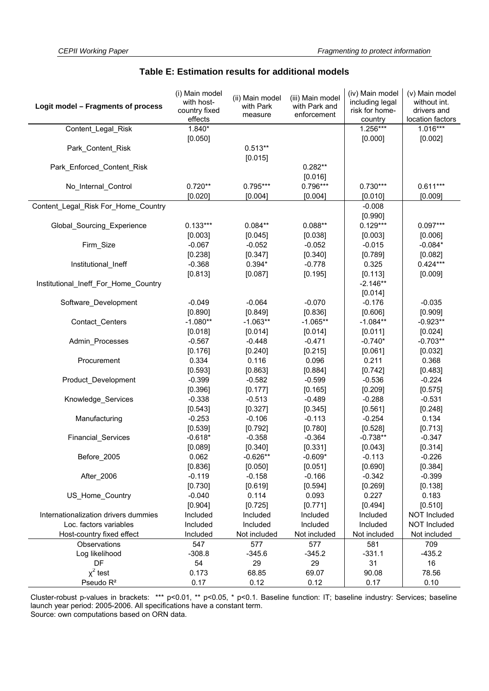| Logit model - Fragments of process   | (i) Main model<br>with host-<br>country fixed<br>effects | (ii) Main model<br>with Park<br>measure | (iii) Main model<br>with Park and<br>enforcement | (iv) Main model<br>including legal<br>risk for home-<br>country | (v) Main model<br>without int.<br>drivers and<br>location factors |
|--------------------------------------|----------------------------------------------------------|-----------------------------------------|--------------------------------------------------|-----------------------------------------------------------------|-------------------------------------------------------------------|
| Content_Legal_Risk                   | 1.840*                                                   |                                         |                                                  | 1.256***                                                        | $1.016***$                                                        |
|                                      | [0.050]                                                  |                                         |                                                  | [0.000]                                                         | [0.002]                                                           |
| Park_Content_Risk                    |                                                          | $0.513**$<br>[0.015]                    |                                                  |                                                                 |                                                                   |
| Park_Enforced_Content_Risk           |                                                          |                                         | $0.282**$                                        |                                                                 |                                                                   |
|                                      |                                                          |                                         | [0.016]                                          |                                                                 |                                                                   |
| No_Internal_Control                  | $0.720**$                                                | $0.795***$                              | 0.796***                                         | $0.730***$                                                      | $0.611***$                                                        |
|                                      | [0.020]                                                  | [0.004]                                 | [0.004]                                          | [0.010]                                                         | [0.009]                                                           |
| Content Legal Risk For Home Country  |                                                          |                                         |                                                  | $-0.008$                                                        |                                                                   |
|                                      |                                                          |                                         |                                                  | [0.990]                                                         |                                                                   |
| Global_Sourcing_Experience           | $0.133***$                                               | $0.084**$                               | $0.088**$                                        | $0.129***$                                                      | $0.097***$                                                        |
|                                      | [0.003]                                                  | [0.045]                                 | [0.038]                                          | [0.003]                                                         | [0.006]                                                           |
| Firm_Size                            | $-0.067$                                                 | $-0.052$                                | $-0.052$                                         | $-0.015$                                                        | $-0.084*$                                                         |
|                                      | [0.238]                                                  | [0.347]                                 | [0.340]                                          | [0.789]                                                         | [0.082]                                                           |
| Institutional Ineff                  | $-0.368$                                                 | $0.394*$                                | $-0.778$                                         | 0.325                                                           | $0.424***$                                                        |
|                                      | [0.813]                                                  | [0.087]                                 | [0.195]                                          | [0.113]                                                         | [0.009]                                                           |
| Institutional_Ineff_For_Home_Country |                                                          |                                         |                                                  | $-2.146**$                                                      |                                                                   |
|                                      |                                                          |                                         |                                                  | [0.014]                                                         |                                                                   |
| Software_Development                 | $-0.049$                                                 | $-0.064$                                | $-0.070$                                         | $-0.176$                                                        | $-0.035$                                                          |
|                                      | [0.890]                                                  | [0.849]                                 | [0.836]                                          | [0.606]                                                         | [0.909]                                                           |
| Contact_Centers                      | $-1.080**$                                               | $-1.063**$                              | $-1.065**$                                       | $-1.084**$                                                      | $-0.923**$                                                        |
|                                      | [0.018]                                                  | [0.014]                                 | [0.014]                                          | [0.011]                                                         | [0.024]                                                           |
| Admin_Processes                      | $-0.567$                                                 | $-0.448$                                | $-0.471$                                         | $-0.740*$                                                       | $-0.703**$                                                        |
|                                      | [0.176]                                                  | [0.240]                                 | [0.215]                                          | [0.061]                                                         | [0.032]                                                           |
| Procurement                          | 0.334                                                    | 0.116                                   | 0.096                                            | 0.211                                                           | 0.368                                                             |
|                                      | [0.593]                                                  | [0.863]                                 | [0.884]                                          | [0.742]                                                         | [0.483]                                                           |
| Product Development                  | $-0.399$                                                 | $-0.582$                                | $-0.599$                                         | $-0.536$                                                        | $-0.224$                                                          |
|                                      | [0.396]                                                  | [0.177]                                 | [0.165]                                          | [0.209]                                                         | [0.575]                                                           |
| Knowledge_Services                   | $-0.338$                                                 | $-0.513$                                | $-0.489$                                         | $-0.288$                                                        | $-0.531$                                                          |
|                                      | [0.543]                                                  | [0.327]                                 | [0.345]                                          | [0.561]                                                         | [0.248]                                                           |
| Manufacturing                        | $-0.253$                                                 | $-0.106$                                | $-0.113$                                         | $-0.254$                                                        | 0.134                                                             |
|                                      | [0.539]                                                  | [0.792]                                 | [0.780]                                          | [0.528]                                                         | [0.713]                                                           |
| Financial_Services                   | $-0.618*$                                                | $-0.358$                                | $-0.364$                                         | $-0.738**$                                                      | $-0.347$                                                          |
|                                      | [0.089]                                                  | [0.340]                                 | [0.331]                                          | [0.043]                                                         | [0.314]                                                           |
| Before_2005                          | 0.062                                                    | $-0.626**$                              | $-0.609*$                                        | $-0.113$                                                        | $-0.226$                                                          |
|                                      | [0.836]                                                  | [0.050]                                 | [0.051]                                          | [0.690]                                                         | [0.384]                                                           |
| After_2006                           | $-0.119$                                                 | $-0.158$                                | $-0.166$                                         | $-0.342$                                                        | $-0.399$                                                          |
|                                      | [0.730]                                                  | [0.619]                                 | [0.594]                                          | [0.269]                                                         | [0.138]                                                           |
| US Home Country                      | $-0.040$                                                 | 0.114                                   | 0.093                                            | 0.227                                                           | 0.183                                                             |
|                                      | [0.904]                                                  | [0.725]                                 | [0.771]                                          | [0.494]                                                         | [0.510]                                                           |
| Internationalization drivers dummies | Included                                                 | Included                                | Included                                         | Included                                                        | NOT Included                                                      |
| Loc. factors variables               | Included                                                 | Included                                | Included                                         | Included                                                        | <b>NOT Included</b>                                               |
| Host-country fixed effect            | Included                                                 | Not included                            | Not included                                     | Not included                                                    | Not included                                                      |
| Observations                         | 547                                                      | 577                                     | 577                                              | 581                                                             | 709                                                               |
| Log likelihood                       | $-308.8$                                                 | $-345.6$                                | $-345.2$                                         | $-331.1$                                                        | $-435.2$                                                          |
| DF                                   | 54                                                       | 29                                      | 29                                               | 31                                                              | 16                                                                |
| $x^2$ test                           | 0.173                                                    | 68.85                                   | 69.07                                            | 90.08                                                           | 78.56                                                             |
| Pseudo R <sup>2</sup>                | 0.17                                                     | 0.12                                    | 0.12                                             | 0.17                                                            | 0.10                                                              |

#### **Table E: Estimation results for additional models**

Cluster-robust p-values in brackets: \*\*\* p<0.01, \*\* p<0.05, \* p<0.1. Baseline function: IT; baseline industry: Services; baseline launch year period: 2005-2006. All specifications have a constant term. Source: own computations based on ORN data.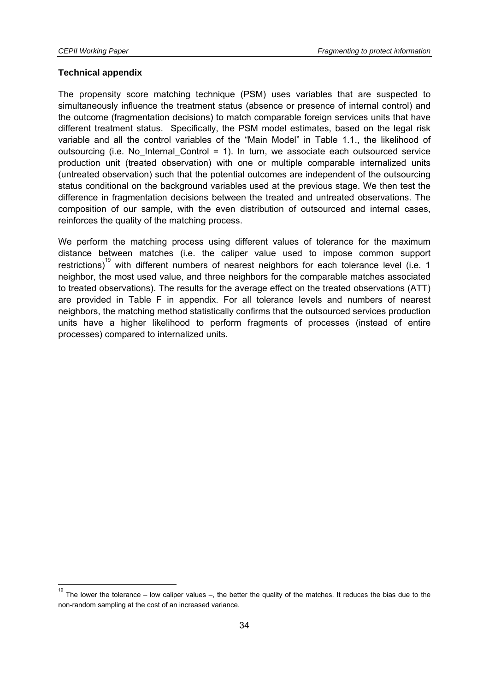$\overline{a}$ 

#### **Technical appendix**

The propensity score matching technique (PSM) uses variables that are suspected to simultaneously influence the treatment status (absence or presence of internal control) and the outcome (fragmentation decisions) to match comparable foreign services units that have different treatment status. Specifically, the PSM model estimates, based on the legal risk variable and all the control variables of the "Main Model" in Table 1.1., the likelihood of outsourcing (i.e. No Internal Control = 1). In turn, we associate each outsourced service production unit (treated observation) with one or multiple comparable internalized units (untreated observation) such that the potential outcomes are independent of the outsourcing status conditional on the background variables used at the previous stage. We then test the difference in fragmentation decisions between the treated and untreated observations. The composition of our sample, with the even distribution of outsourced and internal cases, reinforces the quality of the matching process.

We perform the matching process using different values of tolerance for the maximum distance between matches (i.e. the caliper value used to impose common support restrictions)<sup>19</sup> with different numbers of nearest neighbors for each tolerance level (i.e. 1 neighbor, the most used value, and three neighbors for the comparable matches associated to treated observations). The results for the average effect on the treated observations (ATT) are provided in Table F in appendix. For all tolerance levels and numbers of nearest neighbors, the matching method statistically confirms that the outsourced services production units have a higher likelihood to perform fragments of processes (instead of entire processes) compared to internalized units.

<sup>19</sup> The lower the tolerance – low caliper values –, the better the quality of the matches. It reduces the bias due to the non-random sampling at the cost of an increased variance.